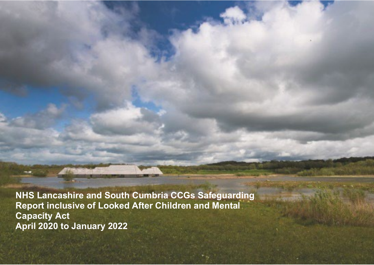**NHS Lancashire and South Cumbria CCGs Safeguarding Report inclusive of Looked After Children and Mental Capacity Act April 2020 to January 2022**

211130 Lancashire and South Cumbria Annual Safeguarding Report inclusive of Looked After Children and Mental Capacity Act April 2020 to January 2022 Final Draft V6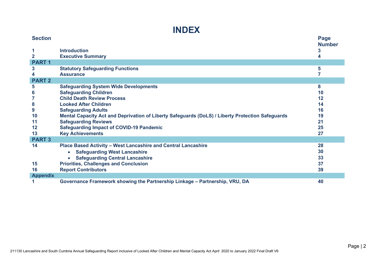

| <b>Section</b>    |                                                                                                  | Page               |
|-------------------|--------------------------------------------------------------------------------------------------|--------------------|
| 1<br>$\mathbf{2}$ | <b>Introduction</b><br><b>Executive Summary</b>                                                  | <b>Number</b><br>3 |
| <b>PART1</b>      |                                                                                                  |                    |
| $\mathbf{3}$      | <b>Statutory Safeguarding Functions</b>                                                          | 5                  |
| 4                 | <b>Assurance</b>                                                                                 |                    |
| <b>PART 2</b>     |                                                                                                  |                    |
| 5                 | <b>Safeguarding System Wide Developments</b>                                                     | 8                  |
| 6                 | <b>Safeguarding Children</b>                                                                     | 10                 |
| 7                 | <b>Child Death Review Process</b>                                                                | 12                 |
| 8                 | <b>Looked After Children</b>                                                                     | 14                 |
| 9                 | <b>Safeguarding Adults</b>                                                                       | 16                 |
| 10                | Mental Capacity Act and Deprivation of Liberty Safeguards (DoLS) / Liberty Protection Safeguards | 19                 |
| 11                | <b>Safeguarding Reviews</b>                                                                      | 21                 |
| 12                | <b>Safeguarding Impact of COVID-19 Pandemic</b>                                                  | 25                 |
| 13                | <b>Key Achievements</b>                                                                          | 27                 |
| <b>PART 3</b>     |                                                                                                  |                    |
| 14                | Place Based Activity - West Lancashire and Central Lancashire                                    | 28                 |
|                   | <b>Safeguarding West Lancashire</b><br>$\bullet$                                                 | 30                 |
|                   | <b>Safeguarding Central Lancashire</b>                                                           | 33                 |
| 15                | <b>Priorities, Challenges and Conclusion</b>                                                     | 37                 |
| 16                | <b>Report Contributors</b>                                                                       | 39                 |
| <b>Appendix</b>   |                                                                                                  |                    |
|                   | Governance Framework showing the Partnership Linkage – Partnership, VRU, DA                      | 40                 |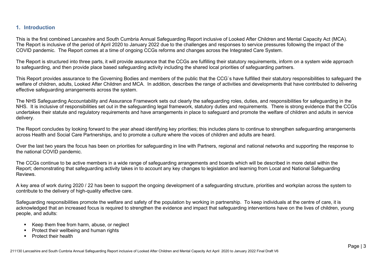### **1. Introduction**

This is the first combined Lancashire and South Cumbria Annual Safeguarding Report inclusive of Looked After Children and Mental Capacity Act (MCA). The Report is inclusive of the period of April 2020 to January 2022 due to the challenges and responses to service pressures following the impact of the COVID pandemic. The Report comes at a time of ongoing CCGs reforms and changes across the Integrated Care System.

The Report is structured into three parts, it will provide assurance that the CCGs are fulfilling their statutory requirements, inform on a system wide approach to safeguarding, and then provide place based safeguarding activity including the shared local priorities of safeguarding partners.

This Report provides assurance to the Governing Bodies and members of the public that the CCG`s have fulfilled their statutory responsibilities to safeguard the welfare of children, adults, Looked After Children and MCA. In addition, describes the range of activities and developments that have contributed to delivering effective safeguarding arrangements across the system.

The NHS Safeguarding Accountability and Assurance Framework sets out clearly the safeguarding roles, duties, and responsibilities for safeguarding in the NHS. It is inclusive of responsibilities set out in the safeguarding legal framework, statutory duties and requirements. There is strong evidence that the CCGs undertakes their statute and regulatory requirements and have arrangements in place to safeguard and promote the welfare of children and adults in service delivery.

The Report concludes by looking forward to the year ahead identifying key priorities; this includes plans to continue to strengthen safeguarding arrangements across Health and Social Care Partnerships, and to promote a culture where the voices of children and adults are heard.

Over the last two years the focus has been on priorities for safeguarding in line with Partners, regional and national networks and supporting the response to the national COVID pandemic.

The CCGs continue to be active members in a wide range of safeguarding arrangements and boards which will be described in more detail within the Report; demonstrating that safeguarding activity takes in to account any key changes to legislation and learning from Local and National Safeguarding Reviews.

A key area of work during 2020 / 22 has been to support the ongoing development of a safeguarding structure, priorities and workplan across the system to contribute to the delivery of high-quality effective care.

Safeguarding responsibilities promote the welfare and safety of the population by working in partnership. To keep individuals at the centre of care, it is acknowledged that an increased focus is required to strengthen the evidence and impact that safeguarding interventions have on the lives of children, young people, and adults:

- Keep them free from harm, abuse, or neglect
- Protect their wellbeing and human rights
- **Protect their health**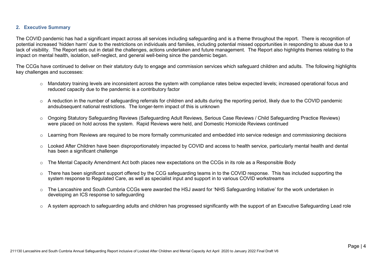#### **2. Executive Summary**

The COVID pandemic has had a significant impact across all services including safeguarding and is a theme throughout the report. There is recognition of potential increased 'hidden harm' due to the restrictions on individuals and families, including potential missed opportunities in responding to abuse due to a lack of visibility. The Report sets out in detail the challenges, actions undertaken and future management. The Report also highlights themes relating to the impact on mental health, isolation, self-neglect, and general well-being since the pandemic began.

The CCGs have continued to deliver on their statutory duty to engage and commission services which safeguard children and adults. The following highlights key challenges and successes:

- o Mandatory training levels are inconsistent across the system with compliance rates below expected levels; increased operational focus and reduced capacity due to the pandemic is a contributory factor
- o A reduction in the number of safeguarding referrals for children and adults during the reporting period, likely due to the COVID pandemic andsubsequent national restrictions. The longer-term impact of this is unknown
- o Ongoing Statutory Safeguarding Reviews (Safeguarding Adult Reviews, Serious Case Reviews / Child Safeguarding Practice Reviews) were placed on hold across the system. Rapid Reviews were held, and Domestic Homicide Reviews continued
- o Learning from Reviews are required to be more formally communicated and embedded into service redesign and commissioning decisions
- o Looked After Children have been disproportionately impacted by COVID and access to health service, particularly mental health and dental has been a significant challenge
- $\circ$  The Mental Capacity Amendment Act both places new expectations on the CCGs in its role as a Responsible Body
- o There has been significant support offered by the CCG safeguarding teams in to the COVID response. This has included supporting the system response to Regulated Care, as well as specialist input and support in to various COVID workstreams
- o The Lancashire and South Cumbria CCGs were awarded the HSJ award for 'NHS Safeguarding Initiative' for the work undertaken in developing an ICS response to safeguarding
- $\circ$  A system approach to safeguarding adults and children has progressed significantly with the support of an Executive Safeguarding Lead role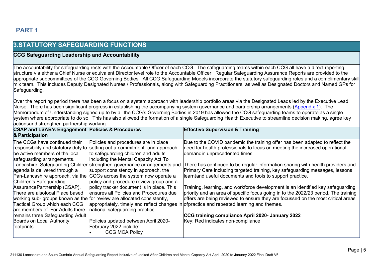# **PART 1**

### **3.STATUTORY SAFEGUARDING FUNCTIONS**

### **CCG Safeguarding Leadership and Accountability**

The accountability for safeguarding rests with the Accountable Officer of each CCG. The safeguarding teams within each CCG all have a direct reporting structure via either a Chief Nurse or equivalent Director level role to the Accountable Officer. Regular Safeguarding Assurance Reports are provided to the appropriate subcommittees of the CCG Governing Bodies. All CCG Safeguarding Models incorporate the statutory safeguarding roles and a complimentary skill mix team. This includes Deputy Designated Nurses / Professionals, along with Safeguarding Practitioners, as well as Designated Doctors and Named GPs for Safeguarding.

Over the reporting period there has been a focus on a system approach with leadership portfolio areas via the Designated Leads led by the Executive Lead Nurse. There has been significant progress in establishing the accompanying system governance and partnership arrangements [\(Appendix 1\)](#page-39-0). The Memorandum of Understanding signed up to by all the CCG's Governing Bodies in 2019 has allowed the CCG safeguarding teams to operate as a single system where appropriate to do so. This has also allowed the formation of a single Safeguarding Health Executive to streamline decision making, agree key actionsand strengthen partnership working.

| <b>CSAP and LSAB's Engagement Policies &amp; Procedures</b><br>& Participation |                                                                              | <b>Effective Supervision &amp; Training</b>                                                |
|--------------------------------------------------------------------------------|------------------------------------------------------------------------------|--------------------------------------------------------------------------------------------|
| The CCGs have continued their                                                  | Policies and procedures are in place                                         | Due to the COVID pandemic the training offer has been adapted to reflect the               |
|                                                                                | responsibility and statutory duty to setting out a commitment, and approach, | need for health professionals to focus on meeting the increased operational                |
| be active members of the local                                                 | to safeguarding children and adults                                          | demandin unprecedented times.                                                              |
| safeguarding arrangements.                                                     | including the Mental Capacity Act. To                                        |                                                                                            |
|                                                                                | Lancashire, Safeguarding Childrenstrengthen governance arrangements and      | There has continued to be regular information sharing with health providers and            |
| agenda is delivered through a                                                  | support consistency in approach, the                                         | Primary Care including targeted training, key safeguarding messages, lessons               |
| Pan-Lancashire approach, via the                                               | CCGs across the system now operate a                                         | learntand useful documents and tools to support practice.                                  |
| Children's Safeguarding                                                        | policy and procedure review group and a                                      |                                                                                            |
| AssurancePartnership (CSAP).                                                   | policy tracker document is in place. This                                    | Training, learning, and workforce development is an identified key safeguarding            |
| There are alsolocal Place based                                                | ensures all Policies and Procedures due                                      | priority and an area of specific focus going in to the 2022/23 period. The training        |
|                                                                                | working sub- groups known as the for review are allocated consistently,      | offers are being reviewed to ensure they are focussed on the most critical areas           |
| Tactical Group which each CCG                                                  |                                                                              | appropriately, timely and reflect changes in of practice and repeated learning and themes. |
| are members of. For Adults there                                               | national safeguarding practice.                                              |                                                                                            |
| remains three Safeguarding Adult                                               |                                                                              | CCG training compliance April 2020- January 2022                                           |
| Boards on Local Authority                                                      | Policies updated between April 2020-                                         | Key: Red indicates non-compliance                                                          |
| footprints.                                                                    | February 2022 include:                                                       |                                                                                            |
|                                                                                | <b>CCG MCA Policy</b>                                                        |                                                                                            |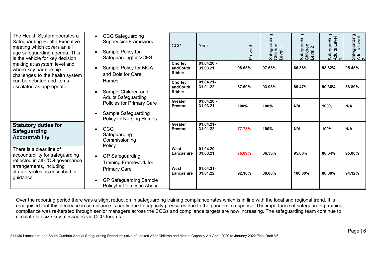| The Health System operates a<br>Safeguarding Health Executive<br>meeting which covers an all<br>age safeguarding agenda. This<br>is the vehicle for key decision         | <b>CCG Safeguarding</b><br>SupervisionFramework<br>Sample Policy for<br>Safeguardingfor VCFS<br>Sample Policy for MCA<br>and Dols for Care<br>Homes<br>Sample Children and<br><b>Adults Safeguarding</b><br>Policies for Primary Care<br>Sample Safeguarding<br><b>Policy for Nursing Homes</b><br>CCG<br>Safeguarding<br>Commissioning<br>Policy<br><b>GP Safeguarding</b><br><b>Training Framework for</b> | CCG                                  | Year                     | Prevent | ding<br>Safeguarc<br>Children<br>Level 1 | Safeguarding<br>Children<br>Level 2 | arding<br>Level<br>Safegua<br>Adults L<br>1 | Safeguarding<br>Adults Level<br>2 |
|--------------------------------------------------------------------------------------------------------------------------------------------------------------------------|--------------------------------------------------------------------------------------------------------------------------------------------------------------------------------------------------------------------------------------------------------------------------------------------------------------------------------------------------------------------------------------------------------------|--------------------------------------|--------------------------|---------|------------------------------------------|-------------------------------------|---------------------------------------------|-----------------------------------|
| making at asystem level and<br>where key partnership<br>challenges to the health system                                                                                  |                                                                                                                                                                                                                                                                                                                                                                                                              | Chorley<br>andSouth<br><b>Ribble</b> | $01.04.20 -$<br>31.03.21 | 98.68%  | 97.63%                                   | 86.36%                              | 98.82%                                      | 95.45%                            |
| can be debated and items<br>escalated as appropriate.                                                                                                                    |                                                                                                                                                                                                                                                                                                                                                                                                              | Chorley<br>andSouth<br><b>Ribble</b> | $01.04.21 -$<br>31.01.22 | 87.50%  | 93.98%                                   | 89.47%                              | 90.36%                                      | 88.89%                            |
|                                                                                                                                                                          |                                                                                                                                                                                                                                                                                                                                                                                                              | <b>Greater</b><br><b>Preston</b>     | $01.04.20 -$<br>31.03.21 | 100%    | 100%                                     | N/A                                 | 100%                                        | N/A                               |
| <b>Statutory duties for</b><br><b>Safeguarding</b><br><b>Accountability</b>                                                                                              |                                                                                                                                                                                                                                                                                                                                                                                                              | <b>Greater</b><br><b>Preston</b>     | 01.04.21-<br>31.01.22    | 77.78%  | 100%                                     | N/A                                 | 100%                                        | N/A                               |
| There is a clear line of<br>accountability for safeguarding<br>reflected in all CCG governance<br>arrangements, including<br>statutoryroles as described in<br>guidance. |                                                                                                                                                                                                                                                                                                                                                                                                              | West<br>Lancashire                   | $01.04.20 -$<br>31.03.21 | 76.09%  | 86.36%                                   | 95.00%                              | 88.64%                                      | 95.00%                            |
|                                                                                                                                                                          | <b>Primary Care</b><br><b>GP Safeguarding Sample</b><br><b>Policyfor Domestic Abuse</b>                                                                                                                                                                                                                                                                                                                      | West<br>Lancashire                   | $01.04.21 -$<br>31.01.22 | 92.16%  | 88.00%                                   | 100.00%                             | 88.00%                                      | 94.12%                            |

Over the reporting period there was a slight reduction in safeguarding training compliance rates which is in line with the local and regional trend. It is recognised that this decrease in compliance is partly due to capacity pressures due to the pandemic response. The importance of safeguarding training compliance was re-iterated through senior managers across the CCGs and compliance targets are now increasing. The safeguarding team continue to circulate bitesize key messages via CCG forums.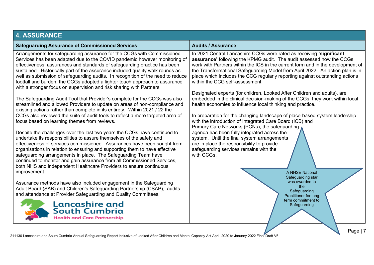| <b>4. ASSURANCE</b>                                                                                                                                                                                                                                                                                                                                                                                                                                                                                                                                         |                                                                                                                                                                                                                                                                                                                                                                                                                                                                                                                 |
|-------------------------------------------------------------------------------------------------------------------------------------------------------------------------------------------------------------------------------------------------------------------------------------------------------------------------------------------------------------------------------------------------------------------------------------------------------------------------------------------------------------------------------------------------------------|-----------------------------------------------------------------------------------------------------------------------------------------------------------------------------------------------------------------------------------------------------------------------------------------------------------------------------------------------------------------------------------------------------------------------------------------------------------------------------------------------------------------|
| <b>Safeguarding Assurance of Commissioned Services</b>                                                                                                                                                                                                                                                                                                                                                                                                                                                                                                      | <b>Audits / Assurance</b>                                                                                                                                                                                                                                                                                                                                                                                                                                                                                       |
| Arrangements for safeguarding assurance for the CCGs with Commissioned<br>Services has been adapted due to the COVID pandemic however monitoring of<br>effectiveness, assurances and standards of safeguarding practice has been<br>sustained. Historically part of the assurance included quality walk rounds as<br>well as submission of safeguarding audits. In recognition of the need to reduce<br>footfall and burden, the CCGs adopted a lighter touch approach to assurance<br>with a stronger focus on supervision and risk sharing with Partners. | In 2021 Central Lancashire CCGs were rated as receiving 'significant<br>assurance' following the KPMG audit. The audit assessed how the CCGs<br>work with Partners within the ICS in the current form and in the development of<br>the Transformational Safeguarding Model from April 2022. An action plan is in<br>place which includes the CCG regularly reporting against outstanding actions<br>within the CCG self-assessment.<br>Designated experts (for children, Looked After Children and adults), are |
| The Safeguarding Audit Tool that Provider's complete for the CCGs was also<br>streamlined and allowed Providers to update on areas of non-compliance and<br>existing actions rather than complete in its entirety. Within 2021 / 22 the                                                                                                                                                                                                                                                                                                                     | embedded in the clinical decision-making of the CCGs, they work within local<br>health economies to influence local thinking and practice.                                                                                                                                                                                                                                                                                                                                                                      |
| CCGs also reviewed the suite of audit tools to reflect a more targeted area of<br>focus based on learning themes from reviews.                                                                                                                                                                                                                                                                                                                                                                                                                              | In preparation for the changing landscape of place-based system leadership<br>with the introduction of Integrated Care Board (ICB) and<br>Primary Care Networks (PCNs), the safeguarding                                                                                                                                                                                                                                                                                                                        |
| Despite the challenges over the last two years the CCGs have continued to<br>undertake its responsibilities to assure themselves of the safety and<br>effectiveness of services commissioned. Assurances have been sought from<br>organisations in relation to ensuring and supporting them to have effective<br>safeguarding arrangements in place. The Safeguarding Team have<br>continued to monitor and gain assurance from all Commissioned Services,<br>both NHS and independent Healthcare Providers to ensure continuous<br>improvement.            | agenda has been fully integrated across the<br>system. Until the final system arrangements<br>are in place the responsibility to provide<br>safeguarding services remains with the<br>with CCGs.<br>A NHSE National<br>Safeguarding star                                                                                                                                                                                                                                                                        |
| Assurance methods have also included engagement in the Safeguarding<br>Adult Board (SAB) and Children's Safeguarding Partnership (CSAP), audits<br>and attendance at Provider Safeguarding and Quality Committees.                                                                                                                                                                                                                                                                                                                                          | was awarded to<br>the<br>Safeguarding<br>Practitioner for long<br>term commitment to                                                                                                                                                                                                                                                                                                                                                                                                                            |
| <b>Lancashire and</b><br><b>South Cumbria</b><br><b>Health and Care Partnership</b>                                                                                                                                                                                                                                                                                                                                                                                                                                                                         | Safeguarding                                                                                                                                                                                                                                                                                                                                                                                                                                                                                                    |
|                                                                                                                                                                                                                                                                                                                                                                                                                                                                                                                                                             | Page   7                                                                                                                                                                                                                                                                                                                                                                                                                                                                                                        |

211130 Lancashire and South Cumbria Annual Safeguarding Report inclusive of Looked After Children and Mental Capacity Act April 2020 to January 2022 Final Draft V6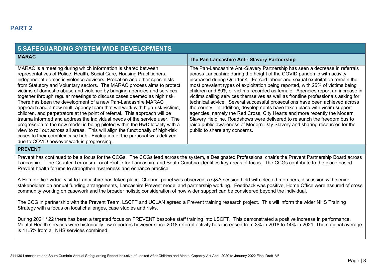| <b>5.SAFEGUARDING SYSTEM WIDE DEVELOPMENTS</b>                                                                                                                                                                                                                                                                                                                                                                                                                                                                                                                                                                                                                                                                                                                                                                                                                                                                                                                                                                                                             |                                                                                                                                                                                                                                                                                                                                                                                                                                                                                                                                                                                                                                                                                                                                                                                                                                                                                                                                       |  |  |
|------------------------------------------------------------------------------------------------------------------------------------------------------------------------------------------------------------------------------------------------------------------------------------------------------------------------------------------------------------------------------------------------------------------------------------------------------------------------------------------------------------------------------------------------------------------------------------------------------------------------------------------------------------------------------------------------------------------------------------------------------------------------------------------------------------------------------------------------------------------------------------------------------------------------------------------------------------------------------------------------------------------------------------------------------------|---------------------------------------------------------------------------------------------------------------------------------------------------------------------------------------------------------------------------------------------------------------------------------------------------------------------------------------------------------------------------------------------------------------------------------------------------------------------------------------------------------------------------------------------------------------------------------------------------------------------------------------------------------------------------------------------------------------------------------------------------------------------------------------------------------------------------------------------------------------------------------------------------------------------------------------|--|--|
| <b>MARAC</b>                                                                                                                                                                                                                                                                                                                                                                                                                                                                                                                                                                                                                                                                                                                                                                                                                                                                                                                                                                                                                                               | The Pan Lancashire Anti- Slavery Partnership                                                                                                                                                                                                                                                                                                                                                                                                                                                                                                                                                                                                                                                                                                                                                                                                                                                                                          |  |  |
| MARAC is a meeting during which information is shared between<br>representatives of Police, Health, Social Care, Housing Practitioners,<br>independent domestic violence advisors, Probation and other specialists<br>from Statutory and Voluntary sectors. The MARAC process aims to protect<br>victims of domestic abuse and violence by bringing agencies and services<br>together through regular meetings to discuss cases deemed as high risk.<br>There has been the development of a new Pan-Lancashire MARAC<br>approach and a new multi-agency team that will work with high-risk victims,<br>children, and perpetrators at the point of referral. This approach will be<br>trauma informed and address the individual needs of the service user. The<br>progression to the new model is being piloted within the BwD locality with a<br>view to roll out across all areas. This will align the functionally of high-risk<br>cases to their complex case hub. Evaluation of the proposal was delayed<br>due to COVID however work is progressing. | The Pan-Lancashire Anti-Slavery Partnership has seen a decrease in referrals<br>across Lancashire during the height of the COVID pandemic with activity<br>increased during Quarter 4. Forced labour and sexual exploitation remain the<br>most prevalent types of exploitation being reported, with 25% of victims being<br>children and 80% of victims recorded as female. Agencies report an increase in<br>victims calling services themselves as well as frontline professionals asking for<br>technical advice. Several successful prosecutions have been achieved across<br>the county. In addition, developments have taken place with victim support<br>agencies, namely the Red Cross, City Hearts and more recently the Modern<br>Slavery Helpline. Roadshows were delivered to relaunch the freedom bus to<br>raise public awareness of Modern-Day Slavery and sharing resources for the<br>public to share any concerns. |  |  |

### **PREVENT**

Prevent has continued to be a focus for the CCGs. The CCGs lead across the system, a Designated Professional chair's the Prevent Partnership Board across Lancashire. The Counter Terrorism Local Profile for Lancashire and South Cumbria identifies key areas of focus. The CCGs contribute to the place based Prevent health forums to strengthen awareness and enhance practice.

A Home office virtual visit to Lancashire has taken place. Channel panel was observed, a Q&A session held with elected members, discussion with senior stakeholders on annual funding arrangements, Lancashire Prevent model and partnership working. Feedback was positive, Home Office were assured of cross community working on casework and the broader holistic consideration of how wider support can be considered beyond the individual.

The CCG in partnership with the Prevent Team, LSCFT and UCLAN agreed a Prevent training research project. This will inform the wider NHS Training Strategy with a focus on local challenges, case studies and risks.

During 2021 / 22 there has been a targeted focus on PREVENT bespoke staff training into LSCFT. This demonstrated a positive increase in performance. Mental Health services were historically low reporters however since 2018 referral activity has increased from 3% in 2018 to 14% in 2021. The national average is 11.5% from all NHS services combined.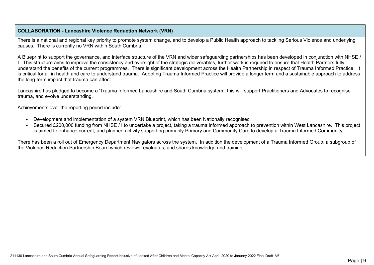#### **COLLABORATION - Lancashire Violence Reduction Network (VRN)**

There is a national and regional key priority to promote system change, and to develop a Public Health approach to tackling Serious Violence and underlying causes. There is currently no VRN within South Cumbria.

A Blueprint to support the governance, and interface structure of the VRN and wider safeguarding partnerships has been developed in conjunction with NHSE / I. This structure aims to improve the consistency and oversight of the strategic deliverables, further work is required to ensure that Health Partners fully understand the benefits of the current programmes. There is significant development across the Health Partnership in respect of Trauma Informed Practice. It is critical for all in health and care to understand trauma. Adopting Trauma Informed Practice will provide a longer term and a sustainable approach to address the long-term impact that trauma can affect.

Lancashire has pledged to become a 'Trauma Informed Lancashire and South Cumbria system', this will support Practitioners and Advocates to recognise trauma, and evolve understanding.

Achievements over the reporting period include:

- Development and implementation of a system VRN Blueprint, which has been Nationally recognised
- Secured £200,000 funding from NHSE / I to undertake a project, taking a trauma informed approach to prevention within West Lancashire. This project is aimed to enhance current, and planned activity supporting primarily Primary and Community Care to develop a Trauma Informed Community

There has been a roll out of Emergency Department Navigators across the system. In addition the development of a Trauma Informed Group, a subgroup of the Violence Reduction Partnership Board which reviews, evaluates, and shares knowledge and training.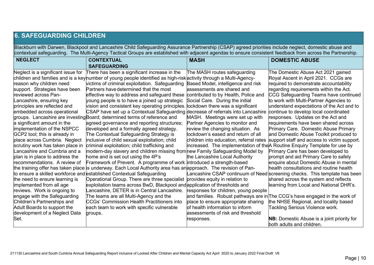# **6. SAFEGUARDING CHILDREN**

Blackburn with Darwen, Blackpool and Lancashire Child Safeguarding Assurance Partnership (CSAP) agreed priorities include neglect, domestic abuse and contextual safeguarding. The Multi-Agency Tactical Groups are established with adjacent agendas to ensure consistent feedback from across the Partnership.

| <b>NEGLECT</b>                     | <b>CONTEXTUAL</b>                                                                                                 | <b>MASH</b>                             | <b>DOMESTIC ABUSE</b>                                                       |
|------------------------------------|-------------------------------------------------------------------------------------------------------------------|-----------------------------------------|-----------------------------------------------------------------------------|
|                                    | <b>SAFEGUARDING</b>                                                                                               |                                         |                                                                             |
| Neglect is a significant issue for | There has been a significant increase in the                                                                      | The MASH routes safeguarding            | The Domestic Abuse Act 2021 gained                                          |
|                                    | children and families and is a keyhumber of young people identified as high-risk activity through a Multi-Agency- |                                         | Royal Ascent in April 2021. CCGs are                                        |
| reason why children need           | victims of criminal exploitation. Safeguarding                                                                    | Based Model, intelligence and risk      | required to demonstrate accountability                                      |
| support. Strategies have been      | Partners have determined that the most                                                                            | assessments are shared and              | regarding requirements within the Act.                                      |
| reviewed across Pan-               | effective way to address and safeguard these                                                                      | contributed to by Health, Police and    | CCG Safeguarding Teams have continued                                       |
| Lancashire, ensuring key           | young people is to have a joined up strategic                                                                     | Social Care. During the initial         | to work with Multi-Partner Agencies to                                      |
| principles are reflected and       | vision and consistent key operating principles.                                                                   | lockdown there was a significant        | understand expectations of the Act and to                                   |
| embedded across operational        | CSAP have set up a Contextual Safeguarding decrease of referrals into Lancashire                                  |                                         | continue to develop local coordinated                                       |
|                                    | groups. Lancashire are investing Board; determined terms of reference and                                         | MASH. Meetings were set up with         | responses. Updates on the Act and                                           |
| a significant amount in the        | agreed governance and reporting structures;                                                                       | Partner Agencies to monitor and         | requirements have been shared across                                        |
| implementation of the NSPCC        | developed and a formally agreed strategy.                                                                         | review the changing situation. As       | Primary Care. Domestic Abuse Primary                                        |
| GCP2 tool; this is already in      | The Contextual Safeguarding Strategy is                                                                           | lockdown's eased and return of all      | and Domestic Abuse Toolkit produced to                                      |
| place across Cumbria. Neglect      | inclusive of child sexual exploitation; child                                                                     | children into education, referral rates | support staff and access to victim support.                                 |
| scrutiny work has taken place in   | criminal exploitation; child trafficking and                                                                      |                                         | increased. The implementation of the A Routine Enquiry Template for use by  |
| Lancashire and Cumbria and a       | modern-day slavery and children missing from new Family Safeguarding Model by                                     |                                         | Primary Care has been developed to                                          |
| plan is in place to address the    | home and is set out using the 4P's                                                                                | the Lancashire Local Authority          | prompt and aid Primary Care to safely                                       |
| recommendations. A review of       | Framework of Prevent. A programme of work introduced a strength-based                                             |                                         | enquire about Domestic Abuse in mental                                      |
|                                    | the training offer has taken place is underway. Each Local Authority area has an approach. The revision of Pan-   |                                         | health consultations and routine health                                     |
|                                    | to ensure a skilled workforce and established Contextual Safeguarding                                             |                                         | Lancashire CSAP continuum of Need screening checks.  This template has been |
| the need to ensure learning is     | Operational Group. There are three specialist                                                                     | provides equity in relation to          | shared across the system and reflects                                       |
| implemented from all age           | exploitation teams across BwD, Blackpool and application of thresholds and                                        |                                         | learning from Local and National DHR's.                                     |
| reviews. Work is ongoing to        | Lancashire, DETER is in Central Lancashire.                                                                       | responses for children, young people    |                                                                             |
| engage with the Safeguarding       | The teams are all Multi-Agency and the                                                                            |                                         | and families. Robust pathways are in∏he CCG's have engaged in the work of   |
| Children's Partnerships and        | <b>CCGs' Commission Health Practitioners into</b>                                                                 | place to ensure appropriate sharing     | the NHSE Regional, and locality based                                       |
| Adult Boards to support the        | each team to work with specific vulnerable                                                                        | of health information to inform         | Tackling Serious Violence work.                                             |
| development of a Neglect Data      | groups.                                                                                                           | assessments of risk and threshold       |                                                                             |
| Set.                               |                                                                                                                   | responses.                              | <b>NB:</b> Domestic Abuse is a joint priority for                           |
|                                    |                                                                                                                   |                                         | both adults and children.                                                   |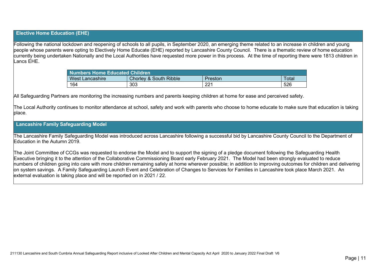### **Elective Home Education (EHE)**

Following the national lockdown and reopening of schools to all pupils, in September 2020, an emerging theme related to an increase in children and young people whose parents were opting to Electively Home Educate (EHE) reported by Lancashire County Council. There is a thematic review of home education currently being undertaken Nationally and the Local Authorities have requested more power in this process. At the time of reporting there were 1813 children in Lancs EHE.

| Numbers Home Educated Children |                                   |         |       |  |  |
|--------------------------------|-----------------------------------|---------|-------|--|--|
| <b>West Lancashire</b>         | <b>Chorley &amp; South Ribble</b> | Preston | Tota. |  |  |
| 164                            | 303                               | 221     | 526   |  |  |

All Safeguarding Partners are monitoring the increasing numbers and parents keeping children at home for ease and perceived safety.

The Local Authority continues to monitor attendance at school, safety and work with parents who choose to home educate to make sure that education is taking place.

### **Lancashire Family Safeguarding Model**

The Lancashire Family Safeguarding Model was introduced across Lancashire following a successful bid by Lancashire County Council to the Department of Education in the Autumn 2019.

The Joint Committee of CCGs was requested to endorse the Model and to support the signing of a pledge document following the Safeguarding Health Executive bringing it to the attention of the Collaborative Commissioning Board early February 2021. The Model had been strongly evaluated to reduce numbers of children going into care with more children remaining safely at home wherever possible; in addition to improving outcomes for children and delivering on system savings. A Family Safeguarding Launch Event and Celebration of Changes to Services for Families in Lancashire took place March 2021. An external evaluation is taking place and will be reported on in 2021 / 22.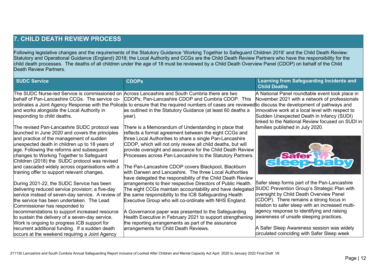# **7. CHILD DEATH REVIEW PROCESS**

Following legislative changes and the requirements of the Statutory Guidance 'Working Together to Safeguard Children 2018' and the Child Death Review: Statutory and Operational Guidance (England) 2018; the Local Authority and CCGs are the Child Death Review Partners who have the responsibility for the child death processes. The deaths of all children under the age of 18 must be reviewed by a Child Death Overview Panel (CDOP) on behalf of the Child Death Review Partners.

| <b>SUDC Service</b>                               | <b>CDOPs</b>                                                                                                                                              | <b>Learning from Safeguarding Incidents and</b><br><b>Child Deaths</b> |
|---------------------------------------------------|-----------------------------------------------------------------------------------------------------------------------------------------------------------|------------------------------------------------------------------------|
|                                                   | The SUDC Nurse-led Service is commissioned on Across Lancashire and South Cumbria there are two                                                           | A National Panel roundtable event took place in                        |
| behalf of Pan-Lancashire CCGs. The service co-    | CDOPs; Pan-Lancashire CDOP and Cumbria CDOP. This                                                                                                         | November 2021 with a network of professionals                          |
|                                                   | ordinates a Joint Agency Response with the Police is to ensure that the required numbers of cases are reviewed to discuss the development of pathways and |                                                                        |
| and works alongside the Local Authority in        | as outlined in the Statutory Guidance (at least 60 deaths a                                                                                               | innovative work at a local level with respect to                       |
| responding to child deaths.                       | year).                                                                                                                                                    | Sudden Unexpected Death in Infancy (SUDI)                              |
|                                                   |                                                                                                                                                           | linked to the National Review focused on SUDI in                       |
| The revised Pan-Lancashire SUDC protocol was      | There is a Memorandum of Understanding in place that                                                                                                      | families published in July 2020.                                       |
| launched in June 2020 and covers the principles   | reflects a formal agreement between the eight CCGs and                                                                                                    |                                                                        |
| and practice of the management of sudden          | three Local Authorities to share a single Pan-Lancashire                                                                                                  |                                                                        |
| unexpected death in children up to 18 years of    | CDOP, which will not only review all child deaths, but will                                                                                               |                                                                        |
| age. Following the reforms and subsequent         | provide oversight and assurance for the Child Death Review                                                                                                |                                                                        |
| changes to Working Together to Safeguard          | Processes across Pan-Lancashire to the Statutory Partners.                                                                                                | <b>sleep balov</b>                                                     |
| Children (2018) the SUDC protocol was revised     |                                                                                                                                                           |                                                                        |
| and cascaded widely across organisations with a   | The Pan-Lancashire CDOP covers Blackpool, Blackburn                                                                                                       |                                                                        |
| training offer to support relevant changes.       | with Darwen and Lancashire. The three Local Authorities                                                                                                   |                                                                        |
|                                                   | have delegated the responsibility of the Child Death Review                                                                                               |                                                                        |
| During 2021-22, the SUDC Service has been         | arrangements to their respective Directors of Public Health.                                                                                              | Safer sleep forms part of the Pan-Lancashire                           |
| delivering reduced service provision; a five-day  | The eight CCGs maintain accountability and have delegated                                                                                                 | SUDC Prevention Group's Strategic Plan with                            |
| service instead of seven-day service. A review of | the same responsibility to the ICB Safeguarding Health                                                                                                    | oversight by Child Death Overview Panel                                |
| the service has been undertaken. The Lead         | Executive Group who will co-ordinate with NHS England.                                                                                                    | (CDOP). There remains a strong focus in                                |
| Commissioner has responded to                     |                                                                                                                                                           | relation to safer sleep with an increased multi-                       |
| recommendations to support increased resource     | A Governance paper was presented to the Safeguarding                                                                                                      | agency response to identifying and raising                             |
| to sustain the delivery of a seven-day service.   | Health Executive in February 2021 to support strengthening                                                                                                | awareness of unsafe sleeping practices.                                |
| Work is ongoing to progress ICB support for       | the reporting arrangements as part of the assurance                                                                                                       |                                                                        |
| recurrent additional funding. If a sudden death   | arrangements for Child Death Reviews.                                                                                                                     | A Safer Sleep Awareness session was widely                             |
| occurs at the weekend requiring a Joint Agency    |                                                                                                                                                           | circulated coinciding with Safer Sleep week                            |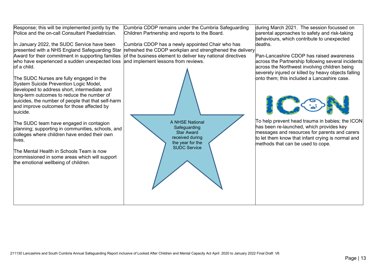Response; this will be implemented jointly by the Police and the on-call Consultant Paediatrician.

In January 2022, the SUDC Service have been presented with a NHS England Safeguarding Star Award for their commitment in supporting families who have experienced a sudden unexpected loss of a child.

The SUDC Nurses are fully engaged in the System Suicide Prevention Logic Model, developed to address short, intermediate and long-term outcomes to reduce the number of suicides, the number of people that that self-harm and improve outcomes for those affected by suicide.

The SUDC team have engaged in contagion planning; supporting in communities, schools, and colleges where children have ended their own lives.

The Mental Health in Schools Team is now commissioned in some areas which will support the emotional wellbeing of children.

Cumbria CDOP remains under the Cumbria Safeguarding Children Partnership and reports to the Board.

Cumbria CDOP has a newly appointed Chair who has refreshed the CDOP workplan and strengthened the delivery of the business element to deliver key national directives and implement lessons from reviews.



during March 2021. The session focussed on parental approaches to safety and risk-taking behaviours, which contribute to unexpected deaths.

Pan-Lancashire CDOP has raised awareness across the Partnership following several incidents across the Northwest involving children being severely injured or killed by heavy objects falling onto them; this included a Lancashire case.



To help prevent head trauma in babies; the ICON has been re-launched, which provides key messages and resources for parents and carers to let them know that infant crying is normal and methods that can be used to cope.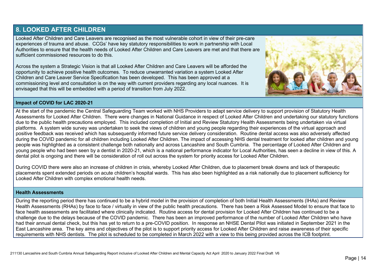### **8. LOOKED AFTER CHILDREN**

Looked After Children and Care Leavers are recognised as the most vulnerable cohort in view of their pre-care experiences of trauma and abuse. CCGs' have key statutory responsibilities to work in partnership with Local Authorities to ensure that the health needs of Looked After Children and Care Leavers are met and that there are sufficient commissioned resources to do this.

Across the system a Strategic Vision is that all Looked After Children and Care Leavers will be afforded the opportunity to achieve positive health outcomes. To reduce unwarranted variation a system Looked After Children and Care Leaver Service Specification has been developed. This has been approved at a commissioning level and consultation is on the way with current providers regarding any local nuances. It is envisaged that this will be embedded with a period of transition from July 2022.



#### **Impact of COVID for LAC 2020-21**

At the start of the pandemic the Central Safeguarding Team worked with NHS Providers to adapt service delivery to support provision of Statutory Health Assessments for Looked After Children. There were changes in National Guidance in respect of Looked After Children and undertaking our statutory functions due to the public health precautions employed. This included completion of Initial and Review Statutory Health Assessments being undertaken via virtual platforms. A system wide survey was undertaken to seek the views of children and young people regarding their experiences of the virtual approach and positive feedback was received which has subsequently informed future service delivery consideration. Routine dental access was also adversely affected during the COVID pandemic for all children including Looked After Children. The impact of accessing NHS dental treatment for looked after children and young people was highlighted as a consistent challenge both nationally and across Lancashire and South Cumbria. The percentage of Looked After Children and young people who had been seen by a dentist in 2020-21, which is a national performance indicator for Local Authorities, has seen a decline in view of this. A dental pilot is ongoing and there will be consideration of roll out across the system for priority access for Looked After Children.

During COVID there were also an increase of children in crisis, whereby Looked After Children, due to placement break downs and lack of therapeutic placements spent extended periods on acute children's hospital wards. This has also been highlighted as a risk nationally due to placement sufficiency for Looked After Children with complex emotional health needs.

#### **Health Assessments**

During the reporting period there has continued to be a hybrid model in the provision of completion of both Initial Health Assessments (IHAs) and Review Health Assessments (RHAs) by face to face / virtually in view of the public health precautions. There has been a Risk Assessed Model to ensure that face to face health assessments are facilitated where clinically indicated. Routine access for dental provision for Looked After Children has continued to be a challenge due to the delays because of the COVID pandemic. There has been an improved performance of the number of Looked After Children who have had their annual dental check, but this has yet to return to a pre-COVID position. In response an NHSE Dental Pilot was initiated in September 2021 in the East Lancashire area. The key aims and objectives of the pilot is to support priority access for Looked After Children and raise awareness of their specific requirements with NHS dentists. The pilot is scheduled to be completed in March 2022 with a view to this being provided across the ICB footprint.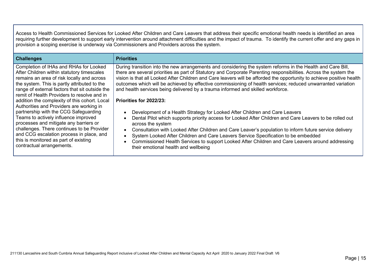Access to Health Commissioned Services for Looked After Children and Care Leavers that address their specific emotional health needs is identified an area requiring further development to support early intervention around attachment difficulties and the impact of trauma. To identify the current offer and any gaps in provision a scoping exercise is underway via Commissioners and Providers across the system.

| <b>Challenges</b>                                                                                                                                                                                                                                                                                                                                                                                                                                                                                                                                                                                                                                                           | <b>Priorities</b>                                                                                                                                                                                                                                                                                                                                                                                                                                                                                                                                                                                                                                                                                                                                                                                                                                                                                                                                                                                                                                                                                                                                  |
|-----------------------------------------------------------------------------------------------------------------------------------------------------------------------------------------------------------------------------------------------------------------------------------------------------------------------------------------------------------------------------------------------------------------------------------------------------------------------------------------------------------------------------------------------------------------------------------------------------------------------------------------------------------------------------|----------------------------------------------------------------------------------------------------------------------------------------------------------------------------------------------------------------------------------------------------------------------------------------------------------------------------------------------------------------------------------------------------------------------------------------------------------------------------------------------------------------------------------------------------------------------------------------------------------------------------------------------------------------------------------------------------------------------------------------------------------------------------------------------------------------------------------------------------------------------------------------------------------------------------------------------------------------------------------------------------------------------------------------------------------------------------------------------------------------------------------------------------|
| Completion of IHAs and RHAs for Looked<br>After Children within statutory timescales<br>remains an area of risk locally and across<br>the system. This is partly attributed to the<br>range of external factors that sit outside the<br>remit of Health Providers to resolve and in<br>addition the complexity of this cohort. Local<br>Authorities and Providers are working in<br>partnership with the CCG Safeguarding<br>Teams to actively influence improved<br>processes and mitigate any barriers or<br>challenges. There continues to be Provider<br>and CCG escalation process in place, and<br>this is monitored as part of existing<br>contractual arrangements. | During transition into the new arrangements and considering the system reforms in the Health and Care Bill,<br>there are several priorities as part of Statutory and Corporate Parenting responsibilities. Across the system the<br>vision is that all Looked After Children and Care leavers will be afforded the opportunity to achieve positive health<br>outcomes which will be achieved by effective commissioning of health services; reduced unwarranted variation<br>and health services being delivered by a trauma informed and skilled workforce.<br>Priorities for 2022/23:<br>Development of a Health Strategy for Looked After Children and Care Leavers<br>Dental Pilot which supports priority access for Looked After Children and Care Leavers to be rolled out<br>across the system<br>Consultation with Looked After Children and Care Leaver's population to inform future service delivery<br>System Looked After Children and Care Leavers Service Specification to be embedded<br>Commissioned Health Services to support Looked After Children and Care Leavers around addressing<br>their emotional health and wellbeing |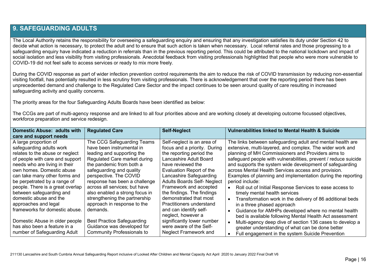### **9. SAFEGUARDING ADULTS**

The Local Authority retains the responsibility for overseeing a safeguarding enquiry and ensuring that any investigation satisfies its duty under Section 42 to decide what action is necessary, to protect the adult and to ensure that such action is taken when necessary. Local referral rates and those progressing to a safeguarding enquiry have indicated a reduction in referrals than in the previous reporting period. This could be attributed to the national lockdown and impact of social isolation and less visibility from visiting professionals. Anecdotal feedback from visiting professionals highlighted that people who were more vulnerable to COVID-19 did not feel safe to access services or ready to mix more freely.

During the COVID response as part of wider infection prevention control requirements the aim to reduce the risk of COVID transmission by reducing non-essential visiting footfall, has potentially resulted in less scrutiny from visiting professionals. There is acknowledgement that over the reporting period there has been unprecedented demand and challenge to the Regulated Care Sector and the impact continues to be seen around quality of care resulting in increased safeguarding activity and quality concerns.

The priority areas for the four Safeguarding Adults Boards have been identified as below:

The CCGs are part of multi-agency response and are linked to all four priorities above and are working closely at developing outcome focussed objectives, workforce preparation and service redesign.

| Domestic Abuse: adults with      | <b>Regulated Care</b>             | <b>Self-Neglect</b>                | <b>Vulnerabilities linked to Mental Health &amp; Suicide</b>    |
|----------------------------------|-----------------------------------|------------------------------------|-----------------------------------------------------------------|
| care and support needs           |                                   |                                    |                                                                 |
| A large proportion of            | The CCG Safeguarding Teams        | Self-neglect is an area of         | The links between safeguarding adult and mental health are      |
| safeguarding adults work         | have been instrumental in         | focus and a priority. During       | extensive, multi-layered, and complex. The wider work and       |
| relates to the abuse or neglect  | leading and supporting the        | the reporting period the           | planning of MH Commissioners and Providers aims to              |
| of people with care and support  | Regulated Care market during      | Lancashire Adult Board             | safeguard people with vulnerabilities, prevent / reduce suicide |
| needs who are living in their    | the pandemic from both a          | have reviewed the                  | and supports the system wide development of safeguarding        |
| own homes. Domestic abuse        | safeguarding and quality          | Evaluation Report of the           | across Mental Health Services access and provision.             |
| can take many other forms and    | perspective. The COVID            | Lancashire Safeguarding            | Examples of planning and implementation during the reporting    |
| be perpetrated by a range of     | response has been a challenge     | <b>Adults Boards Self- Neglect</b> | period include:                                                 |
| people. There is a great overlap | across all services; but have     | Framework and accepted             | Roll out of Initial Response Services to ease access to         |
| between safeguarding and         | also enabled a strong focus in    | the findings. The findings         | timely mental health services                                   |
| domestic abuse and the           | strengthening the partnership     | demonstrated that most             | Transformation work in the delivery of 86 additional beds       |
| approaches and legal             | approach in response to the       | Practitioners understand           | in a three phased approach                                      |
| frameworks for domestic abuse.   | demands.                          | and can identify self-             | Guidance for AMHPs developed where no mental health             |
|                                  |                                   | neglect, however a                 | bed is available following Mental Health Act assessment         |
| Domestic Abuse in older people   | <b>Best Practice Safeguarding</b> | significantly lower number         | Multi-agency deep dive of section 136 cases to develop a        |
| has also been a feature in a     | Guidance was developed for        | were aware of the Self-            | greater understanding of what can be done better                |
| number of Safeguarding Adult     | <b>Community Professionals to</b> | <b>Neglect Framework and</b>       | Full engagement in the system Suicide Prevention                |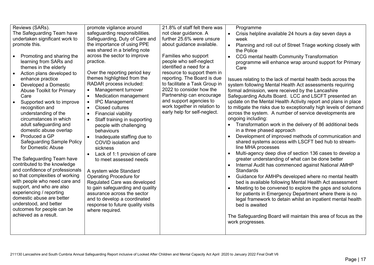| Reviews (SARs).<br>The Safeguarding Team have<br>undertaken significant work to<br>promote this.<br>Promoting and sharing the<br>learning from SARs and<br>themes in the elderly<br>Action plans developed to<br>enhance practice<br>Developed a Domestic<br>Abuse Toolkit for Primary<br>Care<br>Supported work to improve<br>recognition and<br>understanding of the<br>circumstances in which<br>adult safeguarding and<br>domestic abuse overlap<br>Produced a GP<br><b>Safeguarding Sample Policy</b><br>for Domestic Abuse<br>The Safeguarding Team have<br>contributed to the knowledge<br>and confidence of professionals<br>so that complexities of working<br>with people who need care and<br>support, and who are also<br>experiencing / reporting<br>domestic abuse are better<br>understood, and better<br>outcomes for people can be<br>achieved as a result. | promote vigilance around<br>safeguarding responsibilities.<br>Safeguarding, Duty of Care and<br>the importance of using PPE<br>was shared in a briefing note<br>across the sector to improve<br>practice.<br>Over the reporting period key<br>themes highlighted from the<br>RADAR process included:<br>Management turnover<br>$\bullet$<br>Medication management<br>$\bullet$<br><b>IPC Management</b><br>$\bullet$<br><b>Closed cultures</b><br>$\bullet$<br><b>Financial viability</b><br>$\bullet$<br>Staff training in supporting<br>people with challenging<br>behaviours<br>Inadequate staffing due to<br>$\bullet$<br>COVID isolation and<br>sickness<br>Lack of 1:1 provision of care<br>$\bullet$<br>to meet assessed needs<br>A system wide Standard<br><b>Operating Procedure for</b><br>Regulated Care was developed<br>to gain safeguarding and quality<br>assurance across the sector<br>and to develop a coordinated<br>response to future quality visits<br>where required. | 21.8% of staff felt there was<br>not clear guidance. A<br>further 25.6% were unsure<br>about guidance available.<br>Families who support<br>people who self-neglect<br>identified a need for a<br>resource to support them in<br>reporting. The Board is due<br>to facilitate a Task Group in<br>2022 to consider how the<br>Partnership can encourage<br>and support agencies to<br>work together in relation to<br>early help for self-neglect. | Programme<br>Crisis helpline available 24 hours a day seven days a<br>$\bullet$<br>week<br>Planning and roll out of Street Triage working closely with<br>the Police<br>CCG mental health Community Transformation<br>$\bullet$<br>programme will enhance wrap around support for Primary<br>Care<br>Issues relating to the lack of mental health beds across the<br>system following Mental Health Act assessments requiring<br>formal admission, were received by the Lancashire<br>Safeguarding Adults Board. LCC and LSCFT presented an<br>update on the Mental Health Activity report and plans in place<br>to mitigate the risks due to exceptionally high levels of demand<br>across the system. A number of service developments are<br>ongoing including:<br>Transformation work in the delivery of 86 additional beds<br>in a three phased approach<br>Development of improved methods of communication and<br>shared systems access with LSCFT bed hub to stream-<br>line MHA processes<br>Multi-agency deep dive of section 136 cases to develop a<br>$\bullet$<br>greater understanding of what can be done better<br>Internal Audit has commenced against National AMHP<br>Standards<br>Guidance for AMHPs developed where no mental health<br>bed is available following Mental Health Act assessment<br>Meeting to be convened to explore the gaps and solutions<br>for patients in Emergency Department where there is no<br>legal framework to detain whilst an inpatient mental health<br>bed is awaited<br>The Safeguarding Board will maintain this area of focus as the<br>work progresses. |
|------------------------------------------------------------------------------------------------------------------------------------------------------------------------------------------------------------------------------------------------------------------------------------------------------------------------------------------------------------------------------------------------------------------------------------------------------------------------------------------------------------------------------------------------------------------------------------------------------------------------------------------------------------------------------------------------------------------------------------------------------------------------------------------------------------------------------------------------------------------------------|----------------------------------------------------------------------------------------------------------------------------------------------------------------------------------------------------------------------------------------------------------------------------------------------------------------------------------------------------------------------------------------------------------------------------------------------------------------------------------------------------------------------------------------------------------------------------------------------------------------------------------------------------------------------------------------------------------------------------------------------------------------------------------------------------------------------------------------------------------------------------------------------------------------------------------------------------------------------------------------------|---------------------------------------------------------------------------------------------------------------------------------------------------------------------------------------------------------------------------------------------------------------------------------------------------------------------------------------------------------------------------------------------------------------------------------------------------|-------------------------------------------------------------------------------------------------------------------------------------------------------------------------------------------------------------------------------------------------------------------------------------------------------------------------------------------------------------------------------------------------------------------------------------------------------------------------------------------------------------------------------------------------------------------------------------------------------------------------------------------------------------------------------------------------------------------------------------------------------------------------------------------------------------------------------------------------------------------------------------------------------------------------------------------------------------------------------------------------------------------------------------------------------------------------------------------------------------------------------------------------------------------------------------------------------------------------------------------------------------------------------------------------------------------------------------------------------------------------------------------------------------------------------------------------------------------------------------------------------------------------------------------------------------------------------------------------------------------|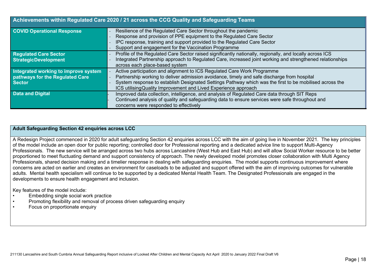|                                                                                          | Achievements within Regulated Care 2020 / 21 across the CCG Quality and Safeguarding Teams                                                                                                                                                                                                                                                           |
|------------------------------------------------------------------------------------------|------------------------------------------------------------------------------------------------------------------------------------------------------------------------------------------------------------------------------------------------------------------------------------------------------------------------------------------------------|
| <b>COVID Operational Response</b>                                                        | Resilience of the Regulated Care Sector throughout the pandemic<br>Response and provision of PPE equipment to the Regulated Care Sector<br>IPC response, training and support provided to the Regulated Care Sector<br>Support and engagement for the Vaccination Programme                                                                          |
| <b>Regulated Care Sector</b><br><b>StrategicDevelopment</b>                              | Profile of the Regulated Care Sector raised significantly nationally, regionally, and locally across ICS<br>Integrated Partnership approach to Regulated Care, increased joint working and strengthened relationships<br>across each place-based system                                                                                              |
| Integrated working to improve system<br>pathways for the Regulated Care<br><b>Sector</b> | Active participation and alignment to ICS Regulated Care Work Programme<br>Partnership working to deliver admission avoidance, timely and safe discharge from hospital<br>System response to establish Designated Settings Pathway which was the first to be mobilised across the<br>ICS utilising Quality Improvement and Lived Experience approach |
| <b>Data and Digital</b>                                                                  | Improved data collection, intelligence, and analysis of Regulated Care data through SIT Reps<br>Continued analysis of quality and safeguarding data to ensure services were safe throughout and<br>concerns were responded to effectively                                                                                                            |

### **Adult Safeguarding Section 42 enquiries across LCC**

A Redesign Project commenced in 2020 for adult safeguarding Section 42 enquiries across LCC with the aim of going live in November 2021. The key principles of the model include an open door for public reporting; controlled door for Professional reporting and a dedicated advice line to support Multi-Agency Professionals. The new service will be arranged across two hubs across Lancashire (West Hub and East Hub) and will allow Social Worker resource to be better proportioned to meet fluctuating demand and support consistency of approach. The newly developed model promotes closer collaboration with Multi Agency Professionals, shared decision making and a timelier response in dealing with safeguarding enquiries. The model supports continuous improvement where concerns are acted on earlier and creates an environment for caseloads to be adjusted and support offered with the aim of improving outcomes for vulnerable adults. Mental health specialism will continue to be supported by a dedicated Mental Health Team. The Designated Professionals are engaged in the developments to ensure health engagement and inclusion.

Key features of the model include:

- Embedding single social work practice
- Promoting flexibility and removal of process driven safeguarding enquiry
- Focus on proportionate enquiry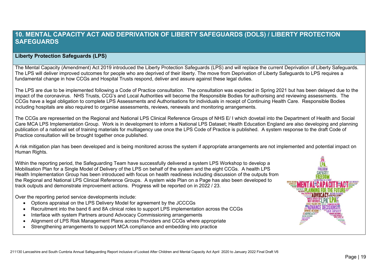### **10. MENTAL CAPACITY ACT AND DEPRIVATION OF LIBERTY SAFEGUARDS (DOLS) / LIBERTY PROTECTION SAFEGUARDS**

### **Liberty Protection Safeguards (LPS)**

The Mental Capacity (Amendment) Act 2019 introduced the Liberty Protection Safeguards (LPS) and will replace the current Deprivation of Liberty Safeguards. The LPS will deliver improved outcomes for people who are deprived of their liberty. The move from Deprivation of Liberty Safeguards to LPS requires a fundamental change in how CCGs and Hospital Trusts respond, deliver and assure against these legal duties.

The LPS are due to be implemented following a Code of Practice consultation. The consultation was expected in Spring 2021 but has been delayed due to the impact of the coronavirus. NHS Trusts, CCG's and Local Authorities will become the Responsible Bodies for authorising and reviewing assessments. The CCGs have a legal obligation to complete LPS Assessments and Authorisations for individuals in receipt of Continuing Health Care. Responsible Bodies including hospitals are also required to organise assessments, reviews, renewals and monitoring arrangements.

The CCGs are represented on the Regional and National LPS Clinical Reference Groups of NHS E/ I which dovetail into the Department of Health and Social Care MCA LPS Implementation Group. Work is in development to inform a National LPS Dataset; Health Education England are also developing and planning publication of a national set of training materials for multiagency use once the LPS Code of Practice is published. A system response to the draft Code of Practice consultation will be brought together once published.

A risk mitigation plan has been developed and is being monitored across the system if appropriate arrangements are not implemented and potential impact on Human Rights.

Within the reporting period, the Safeguarding Team have successfully delivered a system LPS Workshop to develop a Mobilisation Plan for a Single Model of Delivery of the LPS on behalf of the system and the eight CCGs. A health LPS Health Implementation Group has been introduced with focus on health readiness including discussion of the outputs from the Regional and National LPS Clinical Reference Groups. A system wide Plan on a Page has also been developed to track outputs and demonstrate improvement actions. Progress will be reported on in 2022 / 23.

Over the reporting period service developments include:

- Options appraisal on the LPS Delivery Model for agreement by the JCCCGs
- Recruitment into the band 6 and 8A clinical roles to support LPS implementation across the CCGs
- Interface with system Partners around Advocacy Commissioning arrangements
- Alignment of LPS Risk Management Plans across Providers and CCGs where appropriate
- Strengthening arrangements to support MCA compliance and embedding into practice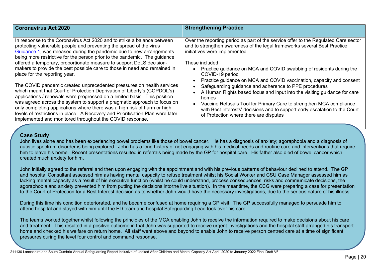| <b>Coronavirus Act 2020</b>                                                                                                                                                                                                                                                                                                                                                                                                                                                                                                                                                                                                                                                                                                                                                                                                                                                                                                                                                                                                       | <b>Strengthening Practice</b>                                                                                                                                                                                                                                                                                                                                                                                                                                                                                                                                                                                                                                                                                                                                    |
|-----------------------------------------------------------------------------------------------------------------------------------------------------------------------------------------------------------------------------------------------------------------------------------------------------------------------------------------------------------------------------------------------------------------------------------------------------------------------------------------------------------------------------------------------------------------------------------------------------------------------------------------------------------------------------------------------------------------------------------------------------------------------------------------------------------------------------------------------------------------------------------------------------------------------------------------------------------------------------------------------------------------------------------|------------------------------------------------------------------------------------------------------------------------------------------------------------------------------------------------------------------------------------------------------------------------------------------------------------------------------------------------------------------------------------------------------------------------------------------------------------------------------------------------------------------------------------------------------------------------------------------------------------------------------------------------------------------------------------------------------------------------------------------------------------------|
| In response to the Coronavirus Act 2020 and to strike a balance between<br>protecting vulnerable people and preventing the spread of the virus<br>Guidance 1, was released during the pandemic due to new arrangements<br>being more restrictive for the person prior to the pandemic. The guidance<br>offered a temporary, proportionate measure to support DoLS decision-<br>makers to provide the best possible care to those in need and remained in<br>place for the reporting year.<br>The COVID pandemic created unprecedented pressures on health services<br>which meant that Court of Protection Deprivation of Liberty's (COPDOL's)<br>applications / renewals were progressed on a limited basis. This position<br>was agreed across the system to support a pragmatic approach to focus on<br>only completing applications where there was a high risk of harm or high<br>levels of restrictions in place. A Recovery and Prioritisation Plan were later<br>implemented and monitored throughout the COVID response. | Over the reporting period as part of the service offer to the Regulated Care sector<br>and to strengthen awareness of the legal frameworks several Best Practice<br>initiatives were implemented.<br>These included:<br>Practice guidance on MCA and COVID swabbing of residents during the<br>COVID-19 period<br>Practice guidance on MCA and COVID vaccination, capacity and consent<br>• Safeguarding guidance and adherence to PPE procedures<br>A Human Rights based focus and input into the visiting guidance for care<br>$\bullet$<br>homes<br>Vaccine Refusals Tool for Primary Care to strengthen MCA compliance<br>$\bullet$<br>with Best Interests' decisions and to support early escalation to the Court<br>of Protection where there are disputes |

### **Case Study**

autistic spectrum disorder is being explored. John has a long history of not engaging with his medical needs and routine care and interventions that require John lives alone and has been experiencing bowel problems like those of bowel cancer. He has a diagnosis of anxiety; agoraphobia and a diagnosis of him to leave his home. Recent presentations resulted in referrals being made by the GP for hospital care. His father also died of bowel cancer which created much anxiety for him.

John initially agreed to the referral and then upon engaging with the appointment and with his previous patterns of behaviour declined to attend. The GP and hospital Consultant assessed him as having mental capacity to refuse treatment whilst his Social Worker and CSU Case Manager assessed him as lacking mental capacity as a result of his executive function (whilst he could understand, process consequences, risks and communicate decisions, the agoraphobia and anxiety prevented him from putting the decisions intothe live situation). In the meantime, the CCG were preparing a case for presentation to the Court of Protection for a Best Interest decision as to whether John would have the necessary investigations, due to the serious nature of his illness.

During this time his condition deteriorated, and he became confused at home requiring a GP visit. The GP successfully managed to persuade him to attend hospital and stayed with him until the ED team and hospital Safeguarding Lead took over his care.

The teams worked together whilst following the principles of the MCA enabling John to receive the information required to make decisions about his care and treatment. This resulted in a positive outcome in that John was supported to receive urgent investigations and the hospital staff arranged his transport home and checked his welfare on return home. All staff went above and beyond to enable John to receive person centred care at a time of significant pressures during the level four control and command response.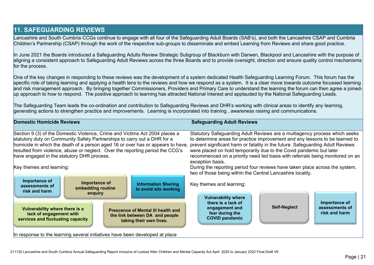# **11. SAFEGUARDING REVIEWS**

Lancashire and South Cumbria CCGs continue to engage with all four of the Safeguarding Adult Boards (SAB's), and both the Lancashire CSAP and Cumbria Children's Partnership (CSAP) through the work of the respective sub-groups to disseminate and embed Learning from Reviews and share good practice.

In June 2021 the Boards introduced a Safeguarding Adults Review Strategic Subgroup of Blackburn with Darwen, Blackpool and Lancashire with the purpose of aligning a consistent approach to Safeguarding Adult Reviews across the three Boards and to provide oversight, direction and ensure quality control mechanisms for the process.

One of the key changes in responding to these reviews was the development of a system dedicated Health Safeguarding Learning Forum. This forum has the specific role of taking learning and applying a health lens to the reviews and how we respond as a system. It is a clear move towards outcome focussed learning and risk management approach. By bringing together Commissioners, Providers and Primary Care to understand the learning the forum can then agree a joinedup approach to how to respond. The positive approach to learning has attracted National Interest and applauded by the National Safeguarding Leads.

 $\rm{\tau}$ he Safeguarding Team leads the co-ordination and contribution to Safeguarding Reviews and DHR's working with clinical areas to identify any learning. generating actions to strengthen practice and improvements. Learning is incorporated into training , awareness raising and communications.

| <b>Domestic Homicide Reviews</b>                                                                                                                                                                                                                                                                                                                                                                                                                                                                                                                                  | <b>Safeguarding Adult Reviews</b>                                                                                                                                                                                                                                                                                                                                                                                                                                                                                                                                                                                                |
|-------------------------------------------------------------------------------------------------------------------------------------------------------------------------------------------------------------------------------------------------------------------------------------------------------------------------------------------------------------------------------------------------------------------------------------------------------------------------------------------------------------------------------------------------------------------|----------------------------------------------------------------------------------------------------------------------------------------------------------------------------------------------------------------------------------------------------------------------------------------------------------------------------------------------------------------------------------------------------------------------------------------------------------------------------------------------------------------------------------------------------------------------------------------------------------------------------------|
| Section 9 (3) of the Domestic Violence, Crime and Victims Act 2004 places a<br>statutory duty on Community Safety Partnerships to carry out a DHR for a<br>homicide in which the death of a person aged 16 or over has or appears to have,<br>resulted from violence, abuse or neglect. Over the reporting period the CCG's<br>have engaged in the statutory DHR process.<br>Key themes and learning:<br>Importance of<br>Importance of<br><b>Information Sharing</b><br>assessments of<br>embedding routine<br>to avoid silo working<br>risk and harm<br>enquiry | Statutory Safeguarding Adult Reviews are a multiagency process which seeks<br>to determine areas for practice improvement and any lessons to be learned to<br>prevent significant harm or fatality in the future. Safeguarding Adult Reviews<br>were placed on hold temporarily due to the Covid pandemic but later<br>recommenced on a priority need led basis with referrals being monitored on an<br>exception basis.<br>During the reporting period four reviews have taken place across the system,<br>two of those being within the Central Lancashire locality.<br>Key themes and learning:<br><b>Vulnerability where</b> |
| Vulnerability where there is a<br><b>Prescence of Mental ill health and</b><br>lack of engagement with<br>the link between DA and people<br>services and fluctuating capacity<br>taking their own lives.<br>In response to the learning several initiatives have been developed at place                                                                                                                                                                                                                                                                          | Importance of<br>there is a lack of<br><b>Self-Neglect</b><br>assessments of<br>engagement and<br>risk and harm<br>fear during the<br><b>COVID pandemic</b>                                                                                                                                                                                                                                                                                                                                                                                                                                                                      |

211130 Lancashire and South Cumbria Annual Safeguarding Report inclusive of Looked After Children and Mental Capacity Act April 2020 to January 2022 Final Draft V6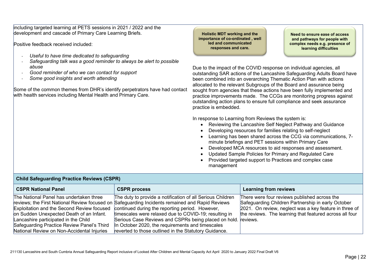including targeted learning at PETS sessions in 2021 / 2022 and the development and cascade of Primary Care Learning Briefs.

Positive feedback received included:

- *Useful to have time dedicated to safeguarding*
- *Safeguarding talk was a good reminder to always be alert to possible abuse*
- *Good reminder of who we can contact for support*
- *Some good insights and worth attending*

Some of the common themes from DHR's identify perpetrators have had contact with health services including Mental Health and Primary Care.

**Holistic MDT working and the importance of co-ordinated , well led and communicated responses and care.**

**Need to ensure ease of access and pathways for people with complex needs e.g. presence of learning difficulties** 

Due to the impact of the COVID response on individual agencies, all outstanding SAR actions of the Lancashire Safeguarding Adults Board have been combined into an overarching Thematic Action Plan with actions allocated to the relevant Subgroups of the Board and assurance being sought from agencies that these actions have been fully implemented and practice improvements made. The CCGs are monitoring progress against outstanding action plans to ensure full compliance and seek assurance practice is embedded.

In response to Learning from Reviews the system is:

- Reviewing the Lancashire Self Neglect Pathway and Guidance
- Developing resources for families relating to self-neglect
- Learning has been shared across the CCG via communications, 7 minute briefings and PET sessions within Primary Care
- Developed MCA resources to aid responses and assessment.
- Updated Sample Policies for Primary and Regulated Care
- Provided targeted support to Practices and complex case management

| <b>PHIN DUIDYUUI UIIIY I TUDITOO I WYTOTIO (DDITTY</b> |                                                                                                 |                                                         |
|--------------------------------------------------------|-------------------------------------------------------------------------------------------------|---------------------------------------------------------|
| <b>CSPR National Panel</b>                             | <b>CSPR process</b>                                                                             | Learning from reviews                                   |
| The National Panel has undertaken three                | The duty to provide a notification of all Serious Children                                      | There were four reviews published across the            |
|                                                        | reviews; the First National Review focused on Safeguarding Incidents remained and Rapid Reviews | Safeguarding Children Partnership in early October      |
| Exploitation and the Second Review focused             | continued during the reporting period. However,                                                 | 2021. On review, neglect was a key feature in three of  |
| on Sudden Unexpected Death of an Infant.               | timescales were relaxed due to COVID-19; resulting in                                           | the reviews. The learning that featured across all four |
| Lancashire participated in the Child                   | Serious Case Reviews and CSPRs being placed on hold. reviews.                                   |                                                         |
| Safeguarding Practice Review Panel's Third             | In October 2020, the requirements and timescales                                                |                                                         |
| National Review on Non-Accidental Injuries             | reverted to those outlined in the Statutory Guidance.                                           |                                                         |

### Child Safeguarding Practice Peviews (CSPP)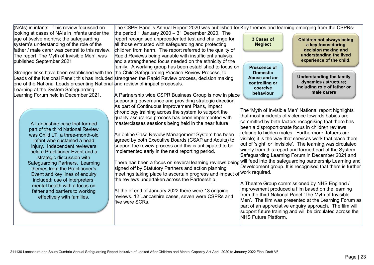211130 Lancashire and South Cumbria Annual Safeguarding Report inclusive of Looked After Children and Mental Capacity Act April 2020 to January 2022 Final Draft V6

A Partnership wide CSPR Business Group is now in place supporting governance and providing strategic direction. As part of Continuous Improvement Plans, impact chronology training across the system to support the quality assurance process has been implemented with masterclasses sessions being held in the near future. An online Case Review Management System has been agreed by both Executive Boards (CSAP and Adults) to support the review process and this is anticipated to be implemented early in the next reporting period. There has been a focus on several learning reviews being signed off by Statutory Partners and action planning meetings taking place to ascertain progress and impact of work required. the reviews undertaken across the Partnership. At the of end of January 2022 there were 13 ongoing reviews. 12 Lancashire cases, seven were CSPRs and five were SCRs. The 'Myth of Invisible Men' National report highlights that most incidents of violence towards babies are committed by birth factors recognising that there has been a disproportionate focus in children reviews relating to hidden males. Furthermore, fathers are visible; it is the way that services work that place them out of 'sight' or 'invisible'. The learning was circulated widely from this report and formed part of the System Safeguarding Learning Forum in December 2021 and will feed into the safeguarding partnership Learning and Development group. It is recognised that there is further A Theatre Group commissioned by NHS England / Improvement produced a film based on the learning from the third National Panel 'The Myth of Invisible Men'. The film was presented at the Learning Forum as part of an appreciative enquiry approach. The film will support future training and will be circulated across the NHS Future Platform. **male carers behaviour**

(NAIs) in infants. This review focussed on looking at cases of NAIs in infants under the age of twelve months; the safeguarding system's understanding of the role of the father / male carer was central to this review. The report 'The Myth of Invisible Men'; was published September 2021

Stronger links have been established with the <sub>I</sub>the Child Safeguarding Practice Review Process, to Leads of the National Panel; this has included <mark>strengthen the Rapid Review process, decision making</mark> one of the National Leads presenting National <mark>and review of impact proposals.</mark> family. A working group has been established to focus on

report recognised unprecedented test and challenge for all those entrusted with safeguarding and protecting children from harm. The report referred to the quality of Rapid Reviews being variable with insufficient analysis and a strengthened focus needed on the ethnicity of the

Learning at the System Safeguarding Learning Forum held in December 2021.

> A Lancashire case that formed part of the third National Review was Child LT, a three-month-old infant who sustained a head injury. Independent reviewers held a Practitioner Event and a strategic discussion with Safeguarding Partners. Learning themes from the Practitioner's Event and key lines of enquiry included: use of interpreters, mental health with a focus on father and barriers to working effectively with families.

The CSPR Panel's Annual Report 2020 was published for $|{\sf Key}$  themes and learning emerging from the CSPRs: the period 1 January 2020 – 31 December 2020. The

> **Prescence of Domestic Abuse and /or controlling or coercive**

**3 Cases of Neglect**

**Understanding the family dynamics / structure; including role of father or** 

**Children not always being a key focus during decision making and understanding the lived experience of the child.**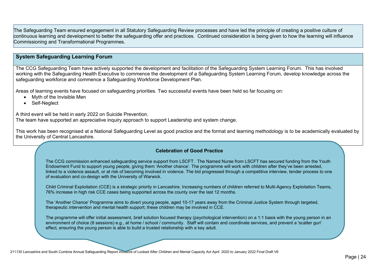The Safeguarding Team ensured engagement in all Statutory Safeguarding Review processes and have led the principle of creating a positive culture of continuous learning and development to better the safeguarding offer and practices. Continued consideration is being given to how the learning will influence Commissioning and Transformational Programmes.

### **System Safeguarding Learning Forum**

The CCG Safeguarding Team have actively supported the development and facilitation of the Safeguarding System Learning Forum. This has involved working with the Safeguarding Health Executive to commence the development of a Safeguarding System Learning Forum, develop knowledge across the safeguarding workforce and commence a Safeguarding Workforce Development Plan.

Areas of learning events have focused on safeguarding priorities. Two successful events have been held so far focusing on:

- Myth of the Invisible Men
- Self-Neglect

A third event will be held in early 2022 on Suicide Prevention.

The team have supported an appreciative inquiry approach to support Leadership and system change.

This work has been recognised at a National Safeguarding Level as good practice and the format and learning methodology is to be academically evaluated by the University of Central Lancashire.

#### **Celebration of Good Practice**

The CCG commission enhanced safeguarding service support from LSCFT. The Named Nurse from LSCFT has secured funding from the Youth Endowment Fund to support young people, giving them 'Another chance'. The programme will work with children after they've been arrested, linked to a violence assault, or at risk of becoming involved in violence. The bid progressed through a competitive interview, tender process to one of evaluation and co-design with the University of Warwick.

Child Criminal Exploitation (CCE) is a strategic priority in Lancashire. Increasing numbers of children referred to Multi-Agency Exploitation Teams, 76% increase in high risk CCE cases being supported across the county over the last 12 months.

The 'Another Chance' Programme aims to divert young people, aged 10-17 years away from the Criminal Justice System through targeted, therapeutic intervention and mental health support; these children may be involved in CCE.

The programme will offer initial assessment, brief solution focused therapy (psychological intervention) on a 1:1 basis with the young person in an environment of choice (6 sessions) e.g., at home / school / community. Staff will contain and coordinate services, and prevent a 'scatter gun' effect, ensuring the young person is able to build a trusted relationship with a key adult.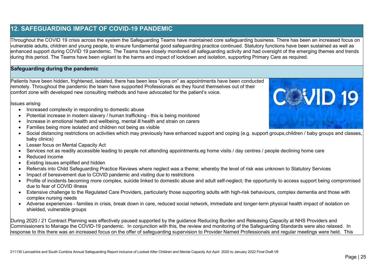# **12. SAFEGUARDING IMPACT OF COVID-19 PANDEMIC**

Throughout the COVID 19 crisis across the system the Safeguarding Teams have maintained core safeguarding business. There has been an increased focus on vulnerable adults, children and young people, to ensure fundamental good safeguarding practice continued. Statutory functions have been sustained as well as enhanced support during COVID 19 pandemic. The Teams have closely monitored all safeguarding activity and had oversight of the emerging themes and trends during this period. The Teams have been vigilant to the harms and impact of lockdown and isolation, supporting Primary Care as required.

### **Safeguarding during the pandemic**

Patients have been hidden, frightened, isolated, there has been less "eyes on" as appointments have been conducted remotely. Throughout the pandemic the team have supported Professionals as they found themselves out of their comfort zone with developed new consulting methods and have advocated for the patient's voice.

Issues arising

- Increased complexity in responding to domestic abuse
- Potential increase in modern slavery / human trafficking this is being monitored
- Increase in emotional health and wellbeing, mental ill health and strain on carers
- Families being more isolated and children not being as visible
- Social distancing restrictions on activities which may previously have enhanced support and coping (e.g. support groups,children / baby groups and classes, baby clinics)
- Lesser focus on Mental Capacity Act
- Services not as readily accessible leading to people not attending appointments.eg home visits / day centres / people declining home care
- Reduced income
- Existing issues amplified and hidden
- Referrals into Child Safeguarding Practice Reviews where neglect was a theme; whereby the level of risk was unknown to Statutory Services
- Impact of bereavement due to COVID pandemic and visiting due to restrictions
- Profile of incidents becoming more complex, suicide linked to domestic abuse and adult self-neglect; the opportunity to access support being compromised due to fear of COVID illness
- Extensive challenge to the Regulated Care Providers, particularly those supporting adults with high-risk behaviours, complex dementia and those with complex nursing needs
- Adverse experiences families in crisis, break down in care, reduced social network, immediate and longer-term physical health impact of isolation on shielded, vulnerable groups

During 2020 / 21 Contract Planning was effectively paused supported by the guidance Reducing Burden and Releasing Capacity at NHS Providers and Commissioners to Manage the COVID-19 pandemic. In conjunction with this, the review and monitoring of the Safeguarding Standards were also relaxed. In response to this there was an increased focus on the offer of safeguarding supervision to Provider Named Professionals and regular meetings were held. This

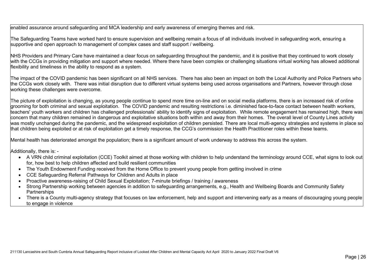enabled assurance around safeguarding and MCA leadership and early awareness of emerging themes and risk.

The Safeguarding Teams have worked hard to ensure supervision and wellbeing remain a focus of all individuals involved in safeguarding work, ensuring a supportive and open approach to management of complex cases and staff support / wellbeing.

NHS Providers and Primary Care have maintained a clear focus on safeguarding throughout the pandemic, and it is positive that they continued to work closely with the CCGs in providing mitigation and support where needed. Where there have been complex or challenging situations virtual working has allowed additional flexibility and timeliness in the ability to respond as a system.

The impact of the COVID pandemic has been significant on all NHS services. There has also been an impact on both the Local Authority and Police Partners who the CCGs work closely with. There was initial disruption due to different virtual systems being used across organisations and Partners, however through close working these challenges were overcome.

The picture of exploitation is changing, as young people continue to spend more time on-line and on social media platforms, there is an increased risk of online grooming for both criminal and sexual exploitation. The COVID pandemic and resulting restrictions i.e. diminished face-to-face contact between health workers, teachers' youth workers and children has challenged professionals' ability to identify signs of exploitation. While remote engagement has remained high, there was concern that many children remained in dangerous and exploitative situations both within and away from their homes. The overall level of County Lines activity was mostly unchanged during the pandemic, and the widespread exploitation of children persisted. There are local multi-agency strategies and systems in place so that children being exploited or at risk of exploitation get a timely response, the CCG's commission the Health Practitioner roles within these teams.

Mental health has deteriorated amongst the population; there is a significant amount of work underway to address this across the system.

Additionally, there is: -

- A VRN child criminal exploitation (CCE) Toolkit aimed at those working with children to help understand the terminology around CCE, what signs to look out for, how best to help children affected and build resilient communities
- The Youth Endowment Funding received from the Home Office to prevent young people from getting involved in crime
- CCE Safeguarding Referral Pathways for Children and Adults in place
- Proactive awareness-raising of Child Sexual Exploitation; 7-minute briefings / training / awareness
- Strong Partnership working between agencies in addition to safeguarding arrangements, e.g., Health and Wellbeing Boards and Community Safety **Partnerships**
- There is a County multi-agency strategy that focuses on law enforcement, help and support and intervening early as a means of discouraging young people to engage in violence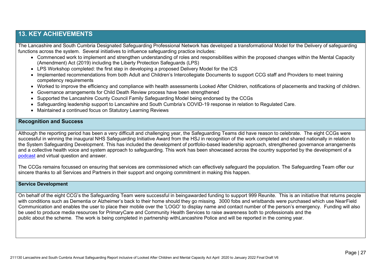### **13. KEY ACHIEVEMENTS**

The Lancashire and South Cumbria Designated Safeguarding Professional Network has developed a transformational Model for the Delivery of safeguarding functions across the system. Several initiatives to influence safeguarding practice includes:

- Commenced work to implement and strengthen understanding of roles and responsibilities within the proposed changes within the Mental Capacity (Amendment) Act (2019) including the Liberty Protection Safeguards (LPS)
- LPS Workshop completed: the first step in developing a proposed Delivery Model for the ICS
- Implemented recommendations from both Adult and Children's Intercollegiate Documents to support CCG staff and Providers to meet training competency requirements
- Worked to improve the efficiency and compliance with health assessments Looked After Children, notifications of placements and tracking of children.
- Governance arrangements for Child Death Review process have been strengthened
- Supported the Lancashire County Council Family Safeguarding Model being endorsed by the CCGs
- Safeguarding leadership support to Lancashire and South Cumbria's COVID-19 response in relation to Regulated Care.
- Maintained a continued focus on Statutory Learning Reviews

### **Recognition and Success**

Although the reporting period has been a very difficult and challenging year, the Safeguarding Teams did have reason to celebrate. The eight CCGs were successful in winning the inaugural NHS Safeguarding Initiative Award from the HSJ in recognition of the work completed and shared nationally in relation to the System Safeguarding Development. This has included the development of portfolio-based leadership approach, strengthened governance arrangements and a collective health voice and system approach to safeguarding. This work has been showcased across the country supported by the development of a [podcast](https://www.youtube.com/watch?v=VFqUuZbFWCE&t=18s) and virtual question and answer.

The CCGs remains focussed on ensuring that services are commissioned which can effectively safeguard the population. The Safeguarding Team offer our sincere thanks to all Services and Partners in their support and ongoing commitment in making this happen.

#### **Service Development**

On behalf of the eight CCG's the Safeguarding Team were successful in beingawarded funding to support 999 Reunite. This is an initiative that returns people with conditions such as Dementia or Alzheimer's back to their home should they go missing. 3000 fobs and wristbands were purchased which use NearField Communication and enables the user to place their mobile over the 'LOGO' to display name and contact number of the person's emergency. Funding will also be used to produce media resources for PrimaryCare and Community Health Services to raise awareness both to professionals and the public about the scheme. The work is being completed in partnership withLancashire Police and will be reported in the coming year.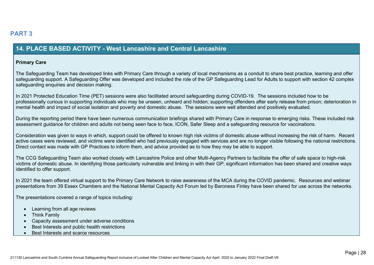### **14. PLACE BASED ACTIVITY - West Lancashire and Central Lancashire**

#### **Primary Care**

The Safeguarding Team has developed links with Primary Care through a variety of local mechanisms as a conduit to share best practice, learning and offer safeguarding support. A Safeguarding Offer was developed and included the role of the GP Safeguarding Lead for Adults to support with section 42 complex safeguarding enquiries and decision making.

In 2021 Protected Education Time (PET) sessions were also facilitated around safeguarding during COVID-19. The sessions included how to be professionally curious in supporting individuals who may be unseen, unheard and hidden; supporting offenders after early release from prison; deterioration in mental health and impact of social isolation and poverty and domestic abuse. The sessions were well attended and positively evaluated.

During the reporting period there have been numerous communication briefings shared with Primary Care in response to emerging risks. These included risk assessment guidance for children and adults not being seen face to face, ICON, Safer Sleep and a safeguarding resource for vaccinations.

Consideration was given to ways in which, support could be offered to known high risk victims of domestic abuse without increasing the risk of harm. Recent active cases were reviewed, and victims were identified who had previously engaged with services and are no longer visible following the national restrictions. Direct contact was made with GP Practices to inform them, and advice provided as to how they may be able to support.

The CCG Safeguarding Team also worked closely with Lancashire Police and other Multi-Agency Partners to facilitate the offer of safe space to high-risk victims of domestic abuse. In identifying those particularly vulnerable and linking in with their GP; significant information has been shared and creative ways identified to offer support.

In 2021 the team offered virtual support to the Primary Care Network to raise awareness of the MCA during the COVID pandemic. Resources and webinar presentations from 39 Essex Chambers and the National Mental Capacity Act Forum led by Baroness Finley have been shared for use across the networks.

The presentations covered a range of topics including:

- Learning from all age reviews
- Think Family
- Capacity assessment under adverse conditions
- Best Interests and public health restrictions
- Best Interests and scarce resources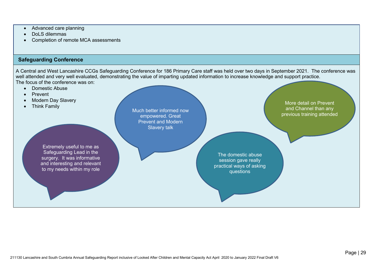- Advanced care planning
- DoLS dilemmas
- Completion of remote MCA assessments

### **Safeguarding Conference**

A Central and West Lancashire CCGs Safeguarding Conference for 186 Primary Care staff was held over two days in September 2021. The conference was well attended and very well evaluated, demonstrating the value of imparting updated information to increase knowledge and support practice. The focus of the conference was on:

- Domestic Abuse
- Prevent
- Modern Day Slavery
- More detail on Prevent<br>• Think Family More detail on Prevent

Much better informed now empowered. Great Prevent and Modern Slavery talk

Extremely useful to me as Safeguarding Lead in the surgery. It was informative and interesting and relevant to my needs within my role

The domestic abuse session gave really practical ways of asking questions

Page | 29 211130 Lancashire and South Cumbria Annual Safeguarding Report inclusive of Looked After Children and Mental Capacity Act April 2020 to January 2022 Final Draft V6

and Channel than any previous training attended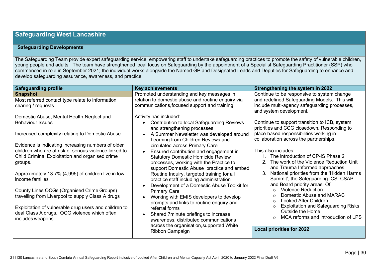### **Safeguarding West Lancashire**

### **Safeguarding Developments**

The Safeguarding Team provide expert safeguarding service, empowering staff to undertake safeguarding practices to promote the safety of vulnerable children, young people and adults. The team have strengthened local focus on Safeguarding by the appointment of a Specialist Safeguarding Practitioner (SSP) who commenced in role in September 2021; the individual works alongside the Named GP and Designated Leads and Deputies for Safeguarding to enhance and develop safeguarding assurance, awareness, and practice.

| <b>Safeguarding profile</b>                                                                                                                                                                                                                                                                                                                                                                                                                                                                                                                                                       | <b>Key achievements</b>                                                                                                                                                                                                                                                                                                                                                                                                                                                                                                                                                                                                                                                                                                                                                                                                  | Strengthening the system in 2022                                                                                                                                                                                                                                                                                                                                                                                                                                                                                                                                                                                                                                                                                                                                 |
|-----------------------------------------------------------------------------------------------------------------------------------------------------------------------------------------------------------------------------------------------------------------------------------------------------------------------------------------------------------------------------------------------------------------------------------------------------------------------------------------------------------------------------------------------------------------------------------|--------------------------------------------------------------------------------------------------------------------------------------------------------------------------------------------------------------------------------------------------------------------------------------------------------------------------------------------------------------------------------------------------------------------------------------------------------------------------------------------------------------------------------------------------------------------------------------------------------------------------------------------------------------------------------------------------------------------------------------------------------------------------------------------------------------------------|------------------------------------------------------------------------------------------------------------------------------------------------------------------------------------------------------------------------------------------------------------------------------------------------------------------------------------------------------------------------------------------------------------------------------------------------------------------------------------------------------------------------------------------------------------------------------------------------------------------------------------------------------------------------------------------------------------------------------------------------------------------|
| <b>Snapshot</b><br>Most referred contact type relate to information<br>sharing / requests<br>Domestic Abuse, Mental Health, Neglect and<br><b>Behaviour Issues</b><br>Increased complexity relating to Domestic Abuse<br>Evidence is indicating increasing numbers of older<br>children who are at risk of serious violence linked to<br>Child Criminal Exploitation and organised crime<br>groups.<br>Approximately 13.7% (4,995) of children live in low-<br>income families<br>County Lines OCGs (Organised Crime Groups)<br>travelling from Liverpool to supply Class A drugs | Promoted understanding and key messages in<br>relation to domestic abuse and routine enquiry via<br>communications, focused support and training.<br>Activity has included:<br><b>Contribution to local Safeguarding Reviews</b><br>and strengthening processes<br>A Summer Newsletter was developed around<br>Learning from Children Reviews and<br>circulated across Primary Care<br>Ensured contribution and engagement in<br><b>Statutory Domestic Homicide Review</b><br>processes, working with the Practice to<br>support Domestic Abuse practice and embed<br>Routine Inquiry, targeted training for all<br>practice staff including administration<br>Development of a Domestic Abuse Toolkit for<br><b>Primary Care</b><br>Working with EMIS developers to develop<br>prompts and links to routine enquiry and | Continue to be responsive to system change<br>and redefined Safeguarding Models. This will<br>include multi-agency safeguarding processes,<br>and system development.<br>Continue to support transition to ICB, system<br>priorities and CCG closedown. Responding to<br>place-based responsibilities working in<br>collaboration across the partnerships.<br>This also includes:<br>The introduction of CP-IS Phase 2<br>The work of the Violence Reduction Unit<br>and Trauma Informed approaches<br>National priorities from the 'Hidden Harms<br>Summit', the Safeguarding ICS, CSAP<br>and Board priority areas. Of:<br><b>Violence Reduction</b><br>Domestic Abuse and MARAC<br><b>Looked After Children</b><br><b>Exploitation and Safeguarding Risks</b> |
| Exploitation of vulnerable drug users and children to<br>deal Class A drugs. OCG violence which often<br>includes weapons                                                                                                                                                                                                                                                                                                                                                                                                                                                         | referral forms<br>Shared 7 minute briefings to increase<br>awareness, distributed communications<br>across the organisation, supported White                                                                                                                                                                                                                                                                                                                                                                                                                                                                                                                                                                                                                                                                             | Outside the Home<br>MCA reforms and introduction of LPS<br>$\circ$                                                                                                                                                                                                                                                                                                                                                                                                                                                                                                                                                                                                                                                                                               |
|                                                                                                                                                                                                                                                                                                                                                                                                                                                                                                                                                                                   | Ribbon Campaign                                                                                                                                                                                                                                                                                                                                                                                                                                                                                                                                                                                                                                                                                                                                                                                                          | <b>Local priorities for 2022</b>                                                                                                                                                                                                                                                                                                                                                                                                                                                                                                                                                                                                                                                                                                                                 |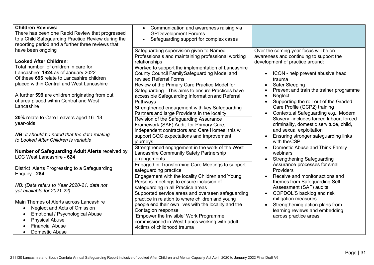| <b>Children Reviews:</b><br>There has been one Rapid Review that progressed<br>to a Child Safeguarding Practice Review during the<br>reporting period and a further three reviews that                                              | Communication and awareness raising via<br>$\bullet$<br><b>GP Development Forums</b><br>Safeguarding support for complex cases                                                                                                                           |                                                                                                                                                                          |
|-------------------------------------------------------------------------------------------------------------------------------------------------------------------------------------------------------------------------------------|----------------------------------------------------------------------------------------------------------------------------------------------------------------------------------------------------------------------------------------------------------|--------------------------------------------------------------------------------------------------------------------------------------------------------------------------|
| have been ongoing<br>Looked After Children;                                                                                                                                                                                         | Safeguarding supervision given to Named<br>Professionals and maintaining professional working<br>relationships                                                                                                                                           | Over the coming year focus will be on<br>awareness and continuing to support the<br>development of practice around:                                                      |
| Total number of children in care for<br>Lancashire: 1924 as of January 2022.<br>Of these 696 relate to Lancashire children<br>placed within Central and West Lancashire                                                             | Worked to support the implementation of Lancashire<br>County Council FamilySafeguarding Model and<br>revised Referral Forms                                                                                                                              | ICON - help prevent abusive head<br>$\bullet$<br>trauma                                                                                                                  |
| A further 599 are children originating from out<br>of area placed within Central and West                                                                                                                                           | Review of the Primary Care Practice Model for<br>Safeguarding. This aims to ensure Practices have<br>accessible Safeguarding Information and Referral<br>Pathways                                                                                        | <b>Safer Sleeping</b><br>Prevent and train the trainer programme<br>$\bullet$<br>Neglect<br>$\bullet$<br>Supporting the roll-out of the Graded<br>$\bullet$              |
| Lancashire<br>20% relate to Care Leavers aged 16-18-<br>year-olds                                                                                                                                                                   | Strengthened engagement with key Safeguarding<br>Partners and large Providers in the locality<br>Revision of the Safeguarding Assurance<br>Framework (SAF) Audit for Primary Care,                                                                       | Care Profile (GCP2) training<br>Contextual Safeguarding e.g., Modern<br>$\bullet$<br>Slavery - includes forced labour, forced<br>criminality, domestic servitude, child, |
| <b>NB:</b> It should be noted that the data relating<br>to Looked After Children is variable                                                                                                                                        | independent contractors and Care Homes; this will<br>support CQC expectations and improvement<br>journeys                                                                                                                                                | and sexual exploitation<br>Ensuring stronger safeguarding links<br>with the CSP                                                                                          |
| Number of Safeguarding Adult Alerts received by<br><b>LCC West Lancashire - 624</b>                                                                                                                                                 | Strengthened engagement in the work of the West<br>Lancashire Community Safety Partnership<br>arrangements                                                                                                                                               | Domestic Abuse and Think Family<br>webinars<br><b>Strengthening Safeguarding</b>                                                                                         |
| District Alerts Progressing to a Safeguarding<br>Enquiry - 284                                                                                                                                                                      | Engaged in Transforming Care Meetings to support<br>safeguarding practice<br>Engagement with the locality Children and Young                                                                                                                             | Assurance processes for small<br>Providers<br>Receive and monitor actions and<br>$\bullet$                                                                               |
| NB: (Data refers to Year 2020-21, data not<br>yet available for 2021-22)                                                                                                                                                            | Persons meetings to ensure inclusion of<br>safeguarding in all Practice areas<br>Supported service areas and overseen safeguarding                                                                                                                       | themes from Safeguarding Self-<br>Assessment (SAF) audits<br>COPDOL'S backlog and risk<br>$\bullet$                                                                      |
| Main Themes of Alerts across Lancashire<br>Neglect and Acts of Omission<br>$\bullet$<br>Emotional / Psychological Abuse<br>$\bullet$<br><b>Physical Abuse</b><br>$\bullet$<br><b>Financial Abuse</b><br>Domestic Abuse<br>$\bullet$ | practice in relation to where children and young<br>people end their own lives with the locality and the<br>Contagion response<br>'Empower the Invisible' Work Programme<br>commissioned in West Lancs working with adult<br>victims of childhood trauma | mitigation measures<br>Strengthening action plans from<br>learning reviews and embedding<br>across practice areas                                                        |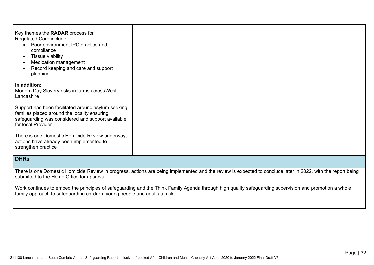| Key themes the RADAR process for<br>Regulated Care include:<br>Poor environment IPC practice and<br>compliance<br>Tissue viability<br>$\bullet$<br>Medication management<br>Record keeping and care and support<br>planning |  |
|-----------------------------------------------------------------------------------------------------------------------------------------------------------------------------------------------------------------------------|--|
| In addition:<br>Modern Day Slavery risks in farms across West<br>Lancashire                                                                                                                                                 |  |
| Support has been facilitated around asylum seeking<br>families placed around the locality ensuring<br>safeguarding was considered and support available<br>for local Provider                                               |  |
| There is one Domestic Homicide Review underway,<br>actions have already been implemented to<br>strengthen practice                                                                                                          |  |

### **DHRs**

There is one Domestic Homicide Review in progress, actions are being implemented and the review is expected to conclude later in 2022, with the report being submitted to the Home Office for approval.

Work continues to embed the principles of safeguarding and the Think Family Agenda through high quality safeguarding supervision and promotion a whole family approach to safeguarding children, young people and adults at risk.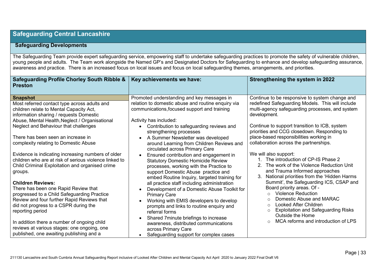### **Safeguarding Central Lancashire**

### **Safeguarding Developments**

The Safeguarding Team provide expert safeguarding service, empowering staff to undertake safeguarding practices to promote the safety of vulnerable children, young people and adults. The Team work alongside the Named GP's and Designated Doctors for Safeguarding to enhance and develop safeguarding assurance, awareness and practice. There is an increased focus on local issues and focus on local safeguarding themes, arrangements, and priorities.

| Safeguarding Profile Chorley South Ribble &<br><b>Preston</b>                                                                                                                                                                                                                                                                                                                                                                                                                                                                                                                                                                                                                                                                                                                                                                             | Key achievements we have:                                                                                                                                                                                                                                                                                                                                                                                                                                                                                                                                                                                                                                                                                                                                                                                                                                                                                                             | Strengthening the system in 2022                                                                                                                                                                                                                                                                                                                                                                                                                                                                                                                                                                                                                                                                                                                                                                                                                                                          |
|-------------------------------------------------------------------------------------------------------------------------------------------------------------------------------------------------------------------------------------------------------------------------------------------------------------------------------------------------------------------------------------------------------------------------------------------------------------------------------------------------------------------------------------------------------------------------------------------------------------------------------------------------------------------------------------------------------------------------------------------------------------------------------------------------------------------------------------------|---------------------------------------------------------------------------------------------------------------------------------------------------------------------------------------------------------------------------------------------------------------------------------------------------------------------------------------------------------------------------------------------------------------------------------------------------------------------------------------------------------------------------------------------------------------------------------------------------------------------------------------------------------------------------------------------------------------------------------------------------------------------------------------------------------------------------------------------------------------------------------------------------------------------------------------|-------------------------------------------------------------------------------------------------------------------------------------------------------------------------------------------------------------------------------------------------------------------------------------------------------------------------------------------------------------------------------------------------------------------------------------------------------------------------------------------------------------------------------------------------------------------------------------------------------------------------------------------------------------------------------------------------------------------------------------------------------------------------------------------------------------------------------------------------------------------------------------------|
| <b>Snapshot</b><br>Most referred contact type across adults and<br>children relate to Mental Capacity Act,<br>information sharing / requests Domestic<br>Abuse, Mental Health, Neglect / Organisational<br>Neglect and Behaviour that challenges<br>There has been seen an increase in<br>complexity relating to Domestic Abuse<br>Evidence is indicating increasing numbers of older<br>children who are at risk of serious violence linked to<br>Child Criminal Exploitation and organised crime<br>groups.<br><b>Children Reviews:</b><br>There has been one Rapid Review that<br>progressed to a Child Safeguarding Practice<br>Review and four further Rapid Reviews that<br>did not progress to a CSPR during the<br>reporting period<br>In addition there a number of ongoing child<br>reviews at various stages: one ongoing, one | Promoted understanding and key messages in<br>relation to domestic abuse and routine enquiry via<br>communications, focused support and training<br>Activity has included:<br>Contribution to safeguarding reviews and<br>strengthening processes<br>A Summer Newsletter was developed<br>around Learning from Children Reviews and<br>circulated across Primary Care<br>Ensured contribution and engagement in<br><b>Statutory Domestic Homicide Review</b><br>processes, working with the Practice to<br>support Domestic Abuse practice and<br>embed Routine Inquiry, targeted training for<br>all practice staff including administration<br>Development of a Domestic Abuse Toolkit for<br><b>Primary Care</b><br>Working with EMIS developers to develop<br>prompts and links to routine enquiry and<br>referral forms<br>Shared 7 minute briefings to increase<br>awareness, distributed communications<br>across Primary Care | Continue to be responsive to system change and<br>redefined Safeguarding Models. This will include<br>multi-agency safeguarding processes, and system<br>development.<br>Continue to support transition to ICB, system<br>priorities and CCG closedown. Responding to<br>place-based responsibilities working in<br>collaboration across the partnerships.<br>We will also support:<br>The introduction of CP-IS Phase 2<br>2. The work of the Violence Reduction Unit<br>and Trauma Informed approaches<br>National priorities from the 'Hidden Harms<br>Summit', the Safeguarding ICS, CSAP and<br>Board priority areas. Of -<br><b>Violence Reduction</b><br>$\Omega$<br>Domestic Abuse and MARAC<br>$\circ$<br><b>Looked After Children</b><br>$\circ$<br><b>Exploitation and Safeguarding Risks</b><br>$\circ$<br>Outside the Home<br>MCA reforms and introduction of LPS<br>$\circ$ |
| published, one awaiting publishing and a                                                                                                                                                                                                                                                                                                                                                                                                                                                                                                                                                                                                                                                                                                                                                                                                  | Safeguarding support for complex cases                                                                                                                                                                                                                                                                                                                                                                                                                                                                                                                                                                                                                                                                                                                                                                                                                                                                                                |                                                                                                                                                                                                                                                                                                                                                                                                                                                                                                                                                                                                                                                                                                                                                                                                                                                                                           |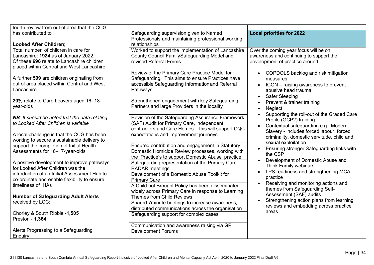| fourth review from out of area that the CCG                                                                                                                              |                                                                                                                                                                                                    |                                                                                                                                            |
|--------------------------------------------------------------------------------------------------------------------------------------------------------------------------|----------------------------------------------------------------------------------------------------------------------------------------------------------------------------------------------------|--------------------------------------------------------------------------------------------------------------------------------------------|
| has contributed to<br>Looked After Children;                                                                                                                             | Safeguarding supervision given to Named<br>Professionals and maintaining professional working<br>relationships                                                                                     | <b>Local priorities for 2022</b>                                                                                                           |
| Total number of children in care for<br>Lancashire: 1924 as of January 2022.<br>Of these 696 relate to Lancashire children<br>placed within Central and West Lancashire  | Worked to support the implementation of Lancashire<br>County Council FamilySafeguarding Model and<br>revised Referral Forms                                                                        | Over the coming year focus will be on<br>awareness and continuing to support the<br>development of practice around:                        |
| A further 599 are children originating from<br>out of area placed within Central and West<br>Lancashire                                                                  | Review of the Primary Care Practice Model for<br>Safeguarding. This aims to ensure Practices have<br>accessible Safeguarding Information and Referral<br>Pathways                                  | • COPDOLS backlog and risk mitigation<br>measures<br>• ICON – raising awareness to prevent<br>abusive head trauma<br><b>Safer Sleeping</b> |
| 20% relate to Care Leavers aged 16-18-<br>year-olds                                                                                                                      | Strengthened engagement with key Safeguarding<br>Partners and large Providers in the locality                                                                                                      | Prevent & trainer training<br>Neglect<br>$\bullet$<br>Supporting the roll-out of the Graded Care<br>$\bullet$                              |
| NB: It should be noted that the data relating<br>to Looked After Children is variable                                                                                    | Revision of the Safeguarding Assurance Framework<br>(SAF) Audit for Primary Care, independent<br>contractors and Care Homes - this will support CQC                                                | Profile (GCP2) training<br>Contextual safeguarding e.g., Modern<br>$\bullet$<br>Slavery - includes forced labour, forced                   |
| A local challenge is that the CCG has been<br>working to secure a sustainable delivery to<br>support the completion of Initial Health<br>Assessments for 16-17-year-olds | expectations and improvement journeys<br>Ensured contribution and engagement in Statutory<br>Domestic Homicide Review processes, working with<br>the Practice's to support Domestic Abuse practice | criminality, domestic servitude, child and<br>sexual exploitation<br>Ensuring stronger Safeguarding links with<br>$\bullet$<br>the CSP     |
| A positive development to improve pathways<br>for Looked After Children was the                                                                                          | Safeguarding representation at the Primary Care<br><b>RADAR</b> meetings                                                                                                                           | Development of Domestic Abuse and<br>Think Family webinars<br>LPS readiness and strengthening MCA<br>$\bullet$                             |
| introduction of an Initial Assessment Hub to<br>co-ordinate and enable flexibility to ensure<br>timeliness of IHAs                                                       | Development of a Domestic Abuse Toolkit for<br><b>Primary Care</b><br>A Child not Brought Policy has been disseminated                                                                             | practice<br>Receiving and monitoring actions and                                                                                           |
| <b>Number of Safeguarding Adult Alerts</b>                                                                                                                               | widely across Primary Care in response to Learning<br>Themes from Child Reviews                                                                                                                    | themes from Safeguarding Self-<br>Assessment (SAF) audits                                                                                  |
| received by LCC:<br>Chorley & South Ribble -1,505                                                                                                                        | Shared 7minute briefings to increase awareness,<br>distributed communications across the organisation                                                                                              | Strengthening action plans from learning<br>reviews and embedding across practice<br>areas                                                 |
| Preston - 1,364                                                                                                                                                          | Safeguarding support for complex cases<br>Communication and awareness raising via GP                                                                                                               |                                                                                                                                            |
| Alerts Progressing to a Safeguarding<br>Enquiry:                                                                                                                         | <b>Development Forums</b>                                                                                                                                                                          |                                                                                                                                            |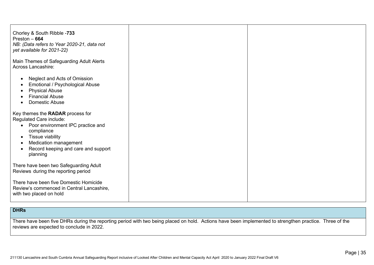| Chorley & South Ribble -733<br>Preston $-664$<br>NB: (Data refers to Year 2020-21, data not<br>yet available for 2021-22)                                                                                                                                          |  |
|--------------------------------------------------------------------------------------------------------------------------------------------------------------------------------------------------------------------------------------------------------------------|--|
| Main Themes of Safeguarding Adult Alerts<br>Across Lancashire:                                                                                                                                                                                                     |  |
| Neglect and Acts of Omission<br>$\bullet$<br>Emotional / Psychological Abuse<br><b>Physical Abuse</b><br>٠<br><b>Financial Abuse</b><br><b>Domestic Abuse</b><br>$\bullet$                                                                                         |  |
| Key themes the RADAR process for<br>Regulated Care include:<br>Poor environment IPC practice and<br>$\bullet$<br>compliance<br>Tissue viability<br>$\bullet$<br>Medication management<br>$\bullet$<br>Record keeping and care and support<br>$\bullet$<br>planning |  |
| There have been two Safeguarding Adult<br>Reviews during the reporting period<br>There have been five Domestic Homicide<br>Review's commenced in Central Lancashire,<br>with two placed on hold                                                                    |  |

### **DHRs**

There have been five DHRs during the reporting period with two being placed on hold. Actions have been implemented to strengthen practice. Three of the reviews are expected to conclude in 2022.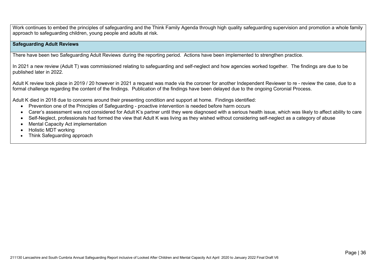Work continues to embed the principles of safeguarding and the Think Family Agenda through high quality safeguarding supervision and promotion a whole family approach to safeguarding children, young people and adults at risk.

#### **Safeguarding Adult Reviews**

There have been two Safeguarding Adult Reviews during the reporting period. Actions have been implemented to strengthen practice.

In 2021 a new review (Adult T) was commissioned relating to safeguarding and self-neglect and how agencies worked together. The findings are due to be published later in 2022.

Adult K review took place in 2019 / 20 however in 2021 a request was made via the coroner for another Independent Reviewer to re - review the case, due to a formal challenge regarding the content of the findings. Publication of the findings have been delayed due to the ongoing Coronial Process.

Adult K died in 2018 due to concerns around their presenting condition and support at home. Findings identified:

- Prevention one of the Principles of Safeguarding proactive intervention is needed before harm occurs
- Carer's assessment was not considered for Adult K's partner until they were diagnosed with a serious health issue, which was likely to affect ability to care
- Self-Neglect, professionals had formed the view that Adult K was living as they wished without considering self-neglect as a category of abuse
- Mental Capacity Act implementation
- Holistic MDT working
- Think Safeguarding approach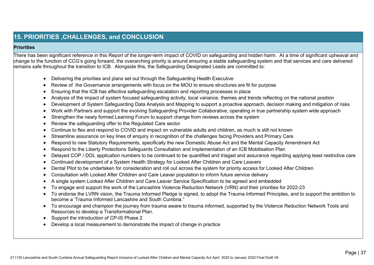# **15. PRIORITIES ,CHALLENGES, and CONCLUSION**

#### **Priorities**

There has been significant reference in this Report of the longer-term impact of COVID on safeguarding and hidden harm. At a time of significant upheaval and change to the function of CCG's going forward, the overarching priority is around ensuring a stable safeguarding system and that services and care delivered remains safe throughout the transition to ICB. Alongside this, the Safeguarding Designated Leads are committed to:

- Delivering the priorities and plans set out through the Safeguarding Health Executive
- Review of the Governance arrangements with focus on the MOU to ensure structures are fit for purpose
- Ensuring that the ICB has effective safeguarding escalation and reporting processes in place
- Analysis of the impact of system focused safeguarding activity, local variance, themes and trends reflecting on the national position
- Development of System Safeguarding Data Analysis and Mapping to support a proactive approach, decision making and mitigation of risks
- Work with Partners and support the evolving Safeguarding Provider Collaborative, operating in true partnership system wide approach
- Strengthen the newly formed Learning Forum to support change from reviews across the system
- Review the safeguarding offer to the Regulated Care sector
- Continue to flex and respond to COVID and impact on vulnerable adults and children, as much is still not known
- Streamline assurance on key lines of enquiry in recognition of the challenges facing Providers and Primary Care
- Respond to new Statutory Requirements, specifically the new Domestic Abuse Act and the Mental Capacity Amendment Act
- Respond to the Liberty Protections Safeguards Consultation and implementation of an ICB Mobilisation Plan
- Delayed COP / DOL application numbers to be continued to be quantified and triaged and assurance regarding applying least restrictive care
- Continued development of a System Health Strategy for Looked After Children and Care Leavers
- Dental Pilot to be undertaken for consideration and roll out across the system for priority access for Looked After Children
- Consultation with Looked After Children and Care Leaver population to inform future service delivery
- A single system Looked After Children and Care Leaver Service Specification to be agreed and embedded
- To engage and support the work of the Lancashire Violence Reduction Network (VRN) and their priorities for 2022-23
- To endorse the LVRN vision, the Trauma Informed Pledge is signed, to adopt the Trauma Informed Principles, and to support the ambition to become a 'Trauma Informed Lancashire and South Cumbria."
- To encourage and champion the journey from trauma aware to trauma informed, supported by the Violence Reduction Network Tools and Resources to develop a Transformational Plan.
- Support the introduction of CP-IS Phase 2
- Develop a local measurement to demonstrate the impact of change in practice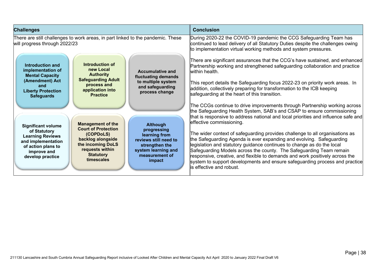| <b>Challenges</b>                                                                                                                                                                                                                                                                                                                                                                                                                                                                                                    | <b>Conclusion</b>                                                                                                                                                                                                                                                                                                                                                                                                                                                                                                                                                                                                                                                                                                                                                                                   |
|----------------------------------------------------------------------------------------------------------------------------------------------------------------------------------------------------------------------------------------------------------------------------------------------------------------------------------------------------------------------------------------------------------------------------------------------------------------------------------------------------------------------|-----------------------------------------------------------------------------------------------------------------------------------------------------------------------------------------------------------------------------------------------------------------------------------------------------------------------------------------------------------------------------------------------------------------------------------------------------------------------------------------------------------------------------------------------------------------------------------------------------------------------------------------------------------------------------------------------------------------------------------------------------------------------------------------------------|
| There are still challenges to work areas, in part linked to the pandemic. These<br>will progress through 2022/23<br>Introduction of<br>Introduction and<br>new Local<br>implementation of<br><b>Accumulative and</b><br><b>Authority</b><br><b>Mental Capacity</b><br>fluctuating demands<br><b>Safeguarding Adult</b><br>(Amendment) Act<br>to multiple system<br>process and<br>and<br>and safeguarding<br>application into<br><b>Liberty Protection</b><br>process change<br><b>Practice</b><br><b>Safeguards</b> | During 2020-22 the COVID-19 pandemic the CCG Safeguarding Team has<br>continued to lead delivery of all Statutory Duties despite the challenges owing<br>to implementation virtual working methods and system pressures.<br>There are significant assurances that the CCG's have sustained, and enhanced<br>Partnership working and strengthened safeguarding collaboration and practice<br>within health.<br>This report details the Safeguarding focus 2022-23 on priority work areas. In<br>addition, collectively preparing for transformation to the ICB keeping<br>safeguarding at the heart of this transition.                                                                                                                                                                              |
| <b>Management of the</b><br><b>Although</b><br><b>Significant volume</b><br><b>Court of Protection</b><br>progressing<br>of Statutory<br>(COPDoLS)<br>learning from<br><b>Learning Reviews</b><br>backlog alongside<br>reviews still need to<br>and implementation<br>the incoming DoLS<br>strengthen the<br>of action plans to<br>requests within<br>system learning and<br>improve and<br><b>Statutory</b><br>measurement of<br>develop practice<br>timescales<br>impact                                           | The CCGs continue to drive improvements through Partnership working across<br>the Safeguarding Health System, SAB's and CSAP to ensure commissioning<br>that is responsive to address national and local priorities and influence safe and<br>effective commissioning.<br>The wider context of safeguarding provides challenge to all organisations as $\overline{\phantom{a}}$<br>the Safeguarding Agenda is ever expanding and evolving. Safeguarding<br>legislation and statutory guidance continues to change as do the local<br>Safeguarding Models across the county. The Safeguarding Team remain<br>responsive, creative, and flexible to demands and work positively across the<br>system to support developments and ensure safeguarding process and practice<br>is effective and robust. |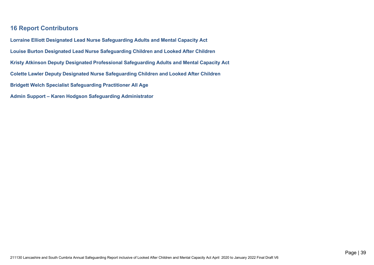## **16 Report Contributors**

**Lorraine Elliott Designated Lead Nurse Safeguarding Adults and Mental Capacity Act Louise Burton Designated Lead Nurse Safeguarding Children and Looked After Children Kristy Atkinson Deputy Designated Professional Safeguarding Adults and Mental Capacity Act Colette Lawler Deputy Designated Nurse Safeguarding Children and Looked After Children Bridgett Welch Specialist Safeguarding Practitioner All Age Admin Support – Karen Hodgson Safeguarding Administrator**